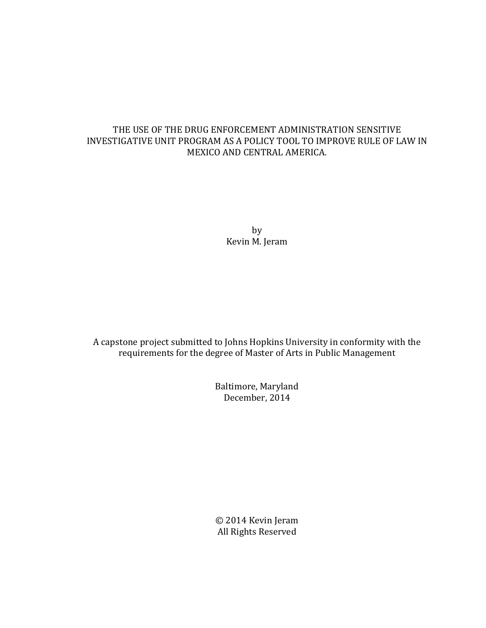# THE USE OF THE DRUG ENFORCEMENT ADMINISTRATION SENSITIVE INVESTIGATIVE UNIT PROGRAM AS A POLICY TOOL TO IMPROVE RULE OF LAW IN MEXICO AND CENTRAL AMERICA.

by Kevin M. Jeram

A capstone project submitted to Johns Hopkins University in conformity with the requirements for the degree of Master of Arts in Public Management

> Baltimore, Maryland December, 2014

> © 2014 Kevin Jeram All Rights Reserved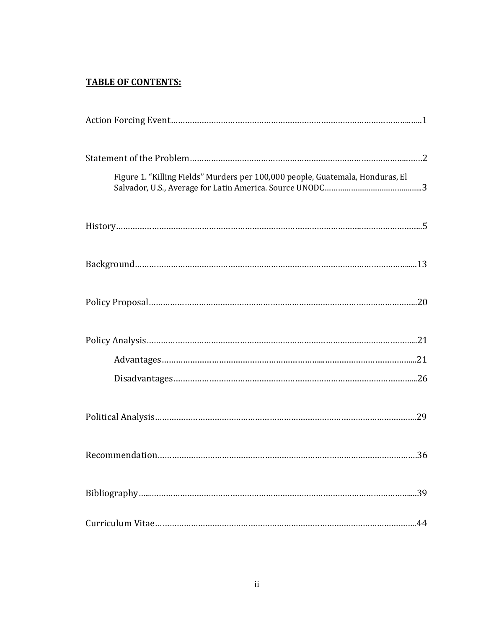# **TABLE OF CONTENTS:**

| Figure 1. "Killing Fields" Murders per 100,000 people, Guatemala, Honduras, El |
|--------------------------------------------------------------------------------|
|                                                                                |
|                                                                                |
|                                                                                |
|                                                                                |
|                                                                                |
|                                                                                |
|                                                                                |
|                                                                                |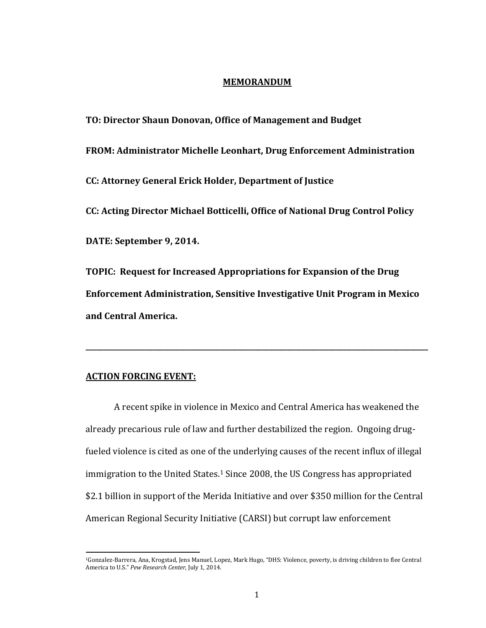#### **MEMORANDUM**

**TO: Director Shaun Donovan, Office of Management and Budget FROM: Administrator Michelle Leonhart, Drug Enforcement Administration CC: Attorney General Erick Holder, Department of Justice CC: Acting Director Michael Botticelli, Office of National Drug Control Policy DATE: September 9, 2014. TOPIC: Request for Increased Appropriations for Expansion of the Drug** 

**Enforcement Administration, Sensitive Investigative Unit Program in Mexico and Central America.** 

**\_\_\_\_\_\_\_\_\_\_\_\_\_\_\_\_\_\_\_\_\_\_\_\_\_\_\_\_\_\_\_\_\_\_\_\_\_\_\_\_\_\_\_\_\_\_\_\_\_\_\_\_\_\_\_\_\_\_\_\_\_\_\_\_\_\_\_\_\_\_\_\_\_\_\_\_\_\_\_\_\_\_\_\_\_\_\_\_\_\_\_\_\_\_\_\_\_**

# **ACTION FORCING EVENT:**

l

A recent spike in violence in Mexico and Central America has weakened the already precarious rule of law and further destabilized the region. Ongoing drugfueled violence is cited as one of the underlying causes of the recent influx of illegal immigration to the United States.<sup>1</sup> Since 2008, the US Congress has appropriated \$2.1 billion in support of the Merida Initiative and over \$350 million for the Central American Regional Security Initiative (CARSI) but corrupt law enforcement

<sup>1</sup>Gonzalez-Barrera, Ana, Krogstad, Jens Manuel, Lopez, Mark Hugo, "DHS: Violence, poverty, is driving children to flee Central America to U.S." *Pew Research Center*, July 1, 2014.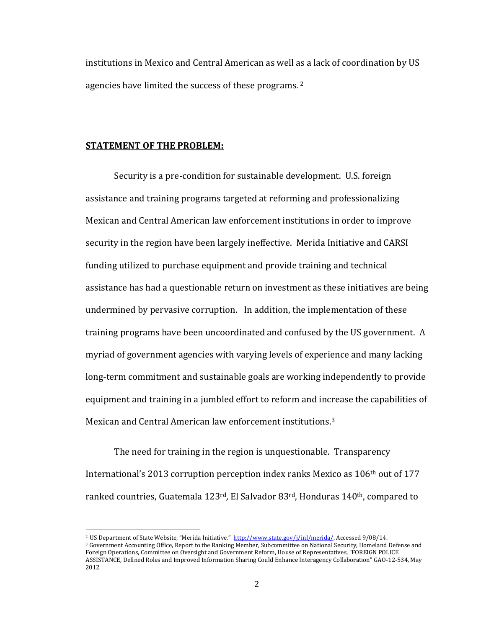institutions in Mexico and Central American as well as a lack of coordination by US agencies have limited the success of these programs. <sup>2</sup>

### **STATEMENT OF THE PROBLEM:**

l

Security is a pre-condition for sustainable development. U.S. foreign assistance and training programs targeted at reforming and professionalizing Mexican and Central American law enforcement institutions in order to improve security in the region have been largely ineffective. Merida Initiative and CARSI funding utilized to purchase equipment and provide training and technical assistance has had a questionable return on investment as these initiatives are being undermined by pervasive corruption. In addition, the implementation of these training programs have been uncoordinated and confused by the US government. A myriad of government agencies with varying levels of experience and many lacking long-term commitment and sustainable goals are working independently to provide equipment and training in a jumbled effort to reform and increase the capabilities of Mexican and Central American law enforcement institutions.<sup>3</sup>

The need for training in the region is unquestionable. Transparency International's 2013 corruption perception index ranks Mexico as 106th out of 177 ranked countries, Guatemala 123<sup>rd</sup>, El Salvador 83<sup>rd</sup>, Honduras 140<sup>th</sup>, compared to

<sup>&</sup>lt;sup>2</sup> US Department of State Website, "Merida Initiative." [http://www.state.gov/j/inl/merida/.](http://www.state.gov/j/inl/merida/) Accessed 9/08/14.

<sup>&</sup>lt;sup>3</sup> Government Accounting Office, Report to the Ranking Member, Subcommittee on National Security, Homeland Defense and Foreign Operations, Committee on Oversight and Government Reform, House of Representatives, "FOREIGN POLICE ASSISTANCE, Defined Roles and Improved Information Sharing Could Enhance Interagency Collaboration" GAO-12-534, May 2012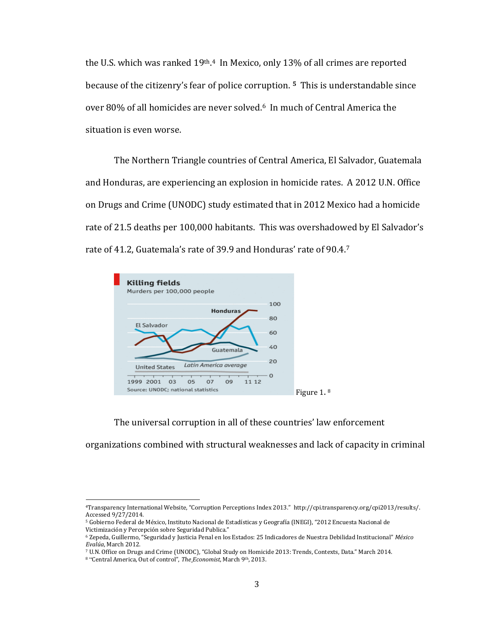the U.S. which was ranked 19<sup>th</sup>.<sup>4</sup> In Mexico, only 13% of all crimes are reported because of the citizenry's fear of police corruption. **5** This is understandable since over 80% of all homicides are never solved.6 In much of Central America the situation is even worse.

The Northern Triangle countries of Central America, El Salvador, Guatemala and Honduras, are experiencing an explosion in homicide rates. A 2012 U.N. Office on Drugs and Crime (UNODC) study estimated that in 2012 Mexico had a homicide rate of 21.5 deaths per 100,000 habitants. This was overshadowed by El Salvador's rate of 41.2, Guatemala's rate of 39.9 and Honduras' rate of 90.4.<sup>7</sup>



The universal corruption in all of these countries' law enforcement

organizations combined with structural weaknesses and lack of capacity in criminal

 $\overline{a}$ 

<sup>4</sup>Transparency International Website, "Corruption Perceptions Index 2013." http://cpi.transparency.org/cpi2013/results/. Accessed 9/27/2014.

<sup>5</sup> Gobierno Federal de México, Instituto Nacional de Estadísticas y Geografía (INEGI), "2012 Encuesta Nacional de Victimización y Percepción sobre Seguridad Publica."

<sup>6</sup> Zepeda, Guillermo, "Seguridad y Justicia Penal en los Estados: 25 Indicadores de Nuestra Debilidad Institucional" *México Evalúa*, March 2012.

<sup>7</sup> U.N. Office on Drugs and Crime (UNODC), "Global Study on Homicide 2013: Trends, Contexts, Data." March 2014.

<sup>8</sup> "Central America, Out of control", *The Economist*, March 9th, 2013.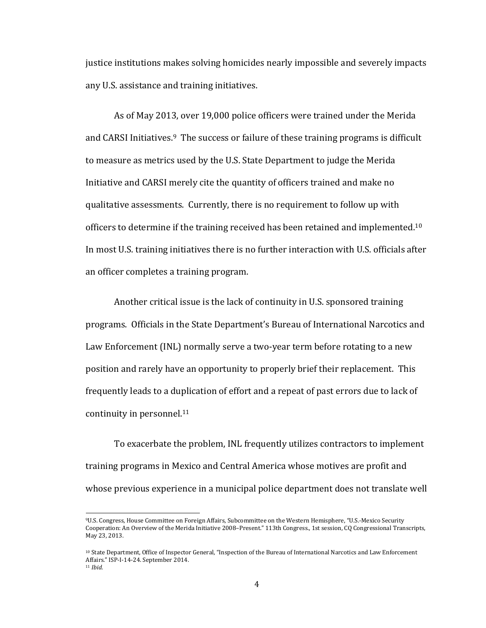justice institutions makes solving homicides nearly impossible and severely impacts any U.S. assistance and training initiatives.

As of May 2013, over 19,000 police officers were trained under the Merida and CARSI Initiatives.<sup>9</sup> The success or failure of these training programs is difficult to measure as metrics used by the U.S. State Department to judge the Merida Initiative and CARSI merely cite the quantity of officers trained and make no qualitative assessments. Currently, there is no requirement to follow up with officers to determine if the training received has been retained and implemented.<sup>10</sup> In most U.S. training initiatives there is no further interaction with U.S. officials after an officer completes a training program.

Another critical issue is the lack of continuity in U.S. sponsored training programs. Officials in the State Department's Bureau of International Narcotics and Law Enforcement (INL) normally serve a two-year term before rotating to a new position and rarely have an opportunity to properly brief their replacement. This frequently leads to a duplication of effort and a repeat of past errors due to lack of continuity in personnel.<sup>11</sup>

To exacerbate the problem, INL frequently utilizes contractors to implement training programs in Mexico and Central America whose motives are profit and whose previous experience in a municipal police department does not translate well

<sup>9</sup>U.S. Congress, House Committee on Foreign Affairs, Subcommittee on the Western Hemisphere, "U.S.-Mexico Security Cooperation: An Overview of the Merida Initiative 2008–Present." 113th Congress., 1st session, CQ Congressional Transcripts, May 23, 2013.

<sup>10</sup> State Department, Office of Inspector General, "Inspection of the Bureau of International Narcotics and Law Enforcement Affairs." ISP-I-14-24. September 2014.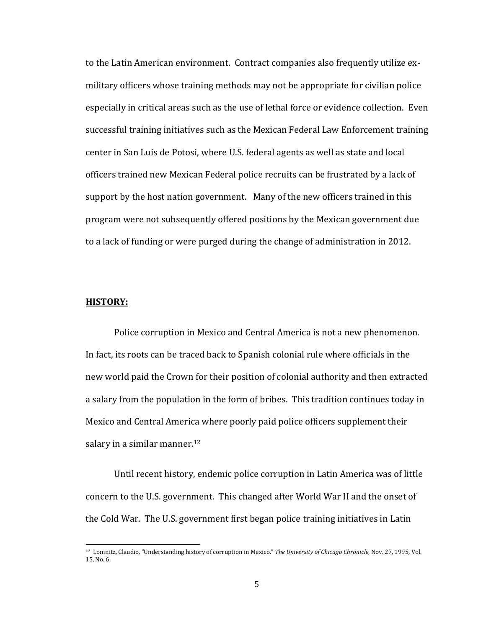to the Latin American environment. Contract companies also frequently utilize exmilitary officers whose training methods may not be appropriate for civilian police especially in critical areas such as the use of lethal force or evidence collection. Even successful training initiatives such as the Mexican Federal Law Enforcement training center in San Luis de Potosi, where U.S. federal agents as well as state and local officers trained new Mexican Federal police recruits can be frustrated by a lack of support by the host nation government. Many of the new officers trained in this program were not subsequently offered positions by the Mexican government due to a lack of funding or were purged during the change of administration in 2012.

# **HISTORY:**

 $\overline{\phantom{0}}$ 

Police corruption in Mexico and Central America is not a new phenomenon. In fact, its roots can be traced back to Spanish colonial rule where officials in the new world paid the Crown for their position of colonial authority and then extracted a salary from the population in the form of bribes. This tradition continues today in Mexico and Central America where poorly paid police officers supplement their salary in a similar manner.<sup>12</sup>

Until recent history, endemic police corruption in Latin America was of little concern to the U.S. government. This changed after World War II and the onset of the Cold War. The U.S. government first began police training initiatives in Latin

**<sup>12</sup>** Lomnitz, Claudio, "Understanding history of corruption in Mexico." *The University of Chicago Chronicle*, Nov. 27, 1995, Vol. 15, No. 6.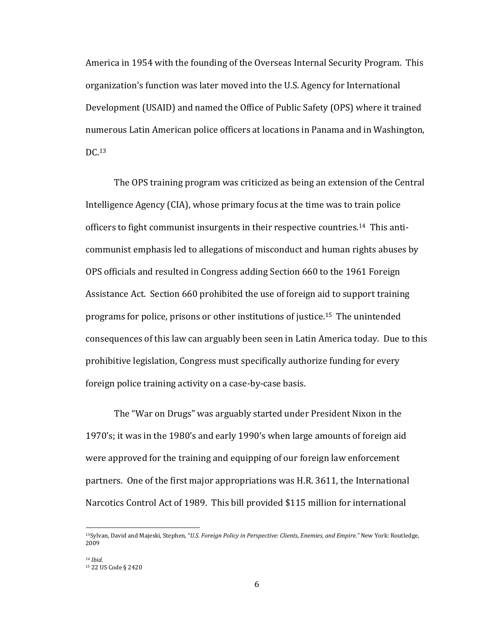America in 1954 with the founding of the Overseas Internal Security Program. This organization's function was later moved into the U.S. Agency for International Development (USAID) and named the Office of Public Safety (OPS) where it trained numerous Latin American police officers at locations in Panama and in Washington, DC.<sup>13</sup>

The OPS training program was criticized as being an extension of the Central Intelligence Agency (CIA), whose primary focus at the time was to train police officers to fight communist insurgents in their respective countries.14 This anticommunist emphasis led to allegations of misconduct and human rights abuses by OPS officials and resulted in Congress adding Section 660 to the 1961 Foreign Assistance Act. Section 660 prohibited the use of foreign aid to support training programs for police, prisons or other institutions of justice.15 The unintended consequences of this law can arguably been seen in Latin America today. Due to this prohibitive legislation, Congress must specifically authorize funding for every foreign police training activity on a case-by-case basis.

The "War on Drugs" was arguably started under President Nixon in the 1970's; it was in the 1980's and early 1990's when large amounts of foreign aid were approved for the training and equipping of our foreign law enforcement partners. One of the first major appropriations was H.R. 3611, the International Narcotics Control Act of 1989. This bill provided \$115 million for international

<sup>13</sup>Sylvan, David and Majeski, Stephen, "*U.S. Foreign Policy in Perspective: Clients, Enemies, and Empire."* New York: Routledge, 2009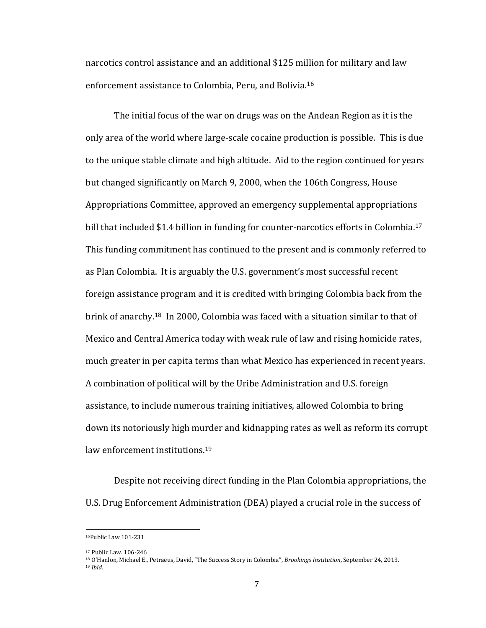narcotics control assistance and an additional \$125 million for military and law enforcement assistance to Colombia, Peru, and Bolivia.<sup>16</sup>

The initial focus of the war on drugs was on the Andean Region as it is the only area of the world where large-scale cocaine production is possible. This is due to the unique stable climate and high altitude. Aid to the region continued for years but changed significantly on March 9, 2000, when the 106th Congress, House Appropriations Committee, approved an emergency supplemental appropriations bill that included \$1.4 billion in funding for counter-narcotics efforts in Colombia.<sup>17</sup> This funding commitment has continued to the present and is commonly referred to as Plan Colombia. It is arguably the U.S. government's most successful recent foreign assistance program and it is credited with bringing Colombia back from the brink of anarchy.18 In 2000, Colombia was faced with a situation similar to that of Mexico and Central America today with weak rule of law and rising homicide rates, much greater in per capita terms than what Mexico has experienced in recent years. A combination of political will by the Uribe Administration and U.S. foreign assistance, to include numerous training initiatives, allowed Colombia to bring down its notoriously high murder and kidnapping rates as well as reform its corrupt law enforcement institutions.<sup>19</sup>

Despite not receiving direct funding in the Plan Colombia appropriations, the U.S. Drug Enforcement Administration (DEA) played a crucial role in the success of

 $\overline{\phantom{0}}$ 

<sup>16</sup>Public Law 101-231

<sup>17</sup> Public Law. 106-246

<sup>18</sup> O'Hanlon, Michael E., Petraeus, David, "The Success Story in Colombia", *Brookings Institution*, September 24, 2013. <sup>19</sup> *Ibid.*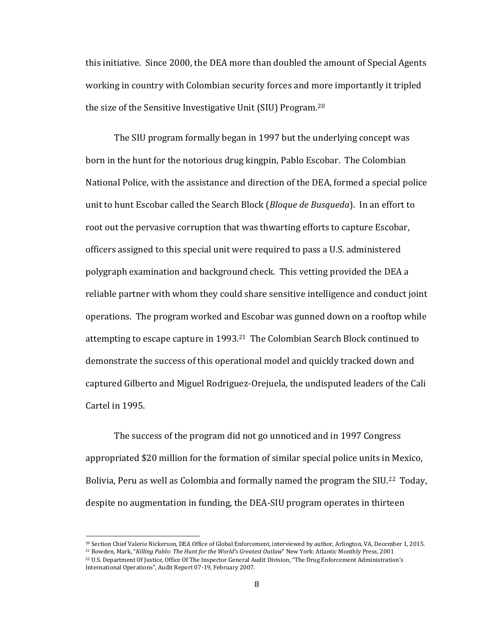this initiative. Since 2000, the DEA more than doubled the amount of Special Agents working in country with Colombian security forces and more importantly it tripled the size of the Sensitive Investigative Unit (SIU) Program.<sup>20</sup>

The SIU program formally began in 1997 but the underlying concept was born in the hunt for the notorious drug kingpin, Pablo Escobar. The Colombian National Police, with the assistance and direction of the DEA, formed a special police unit to hunt Escobar called the Search Block (*Bloque de Busqueda*). In an effort to root out the pervasive corruption that was thwarting efforts to capture Escobar, officers assigned to this special unit were required to pass a U.S. administered polygraph examination and background check. This vetting provided the DEA a reliable partner with whom they could share sensitive intelligence and conduct joint operations. The program worked and Escobar was gunned down on a rooftop while attempting to escape capture in 1993.21 The Colombian Search Block continued to demonstrate the success of this operational model and quickly tracked down and captured Gilberto and Miguel Rodriguez-Orejuela, the undisputed leaders of the Cali Cartel in 1995.

The success of the program did not go unnoticed and in 1997 Congress appropriated \$20 million for the formation of similar special police units in Mexico, Bolivia, Peru as well as Colombia and formally named the program the SIU.<sup>22</sup> Today, despite no augmentation in funding, the DEA-SIU program operates in thirteen

 $\overline{a}$ 

<sup>20</sup> Section Chief Valerie Nickerson, DEA Office of Global Enforcement, interviewed by author, Arlington, VA, December 1, 2015. <sup>21</sup> Bowden, Mark, "*Killing Pablo: The Hunt for the World's Greatest Outlaw*" New York: Atlantic Monthly Press, 2001 <sup>22</sup> U.S. Department Of Justice, Office Of The Inspector General Audit Division, "The Drug Enforcement Administration's International Operations", Audit Report 07-19, February 2007.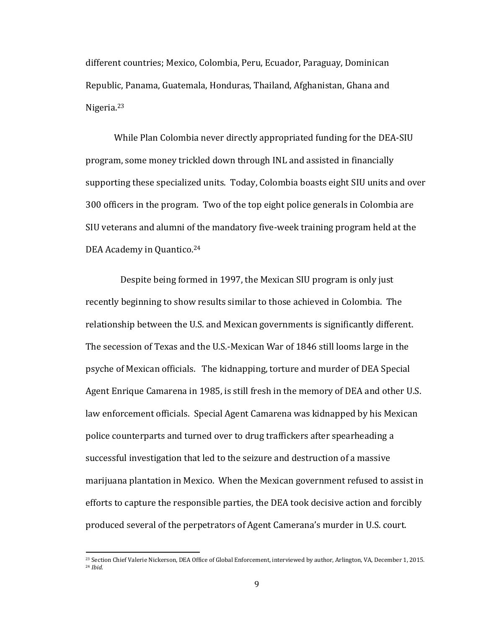different countries; Mexico, Colombia, Peru, Ecuador, Paraguay, Dominican Republic, Panama, Guatemala, Honduras, Thailand, Afghanistan, Ghana and Nigeria.<sup>23</sup>

While Plan Colombia never directly appropriated funding for the DEA-SIU program, some money trickled down through INL and assisted in financially supporting these specialized units. Today, Colombia boasts eight SIU units and over 300 officers in the program. Two of the top eight police generals in Colombia are SIU veterans and alumni of the mandatory five-week training program held at the DEA Academy in Quantico.<sup>24</sup>

 Despite being formed in 1997, the Mexican SIU program is only just recently beginning to show results similar to those achieved in Colombia. The relationship between the U.S. and Mexican governments is significantly different. The secession of Texas and the U.S.-Mexican War of 1846 still looms large in the psyche of Mexican officials. The kidnapping, torture and murder of DEA Special Agent Enrique Camarena in 1985, is still fresh in the memory of DEA and other U.S. law enforcement officials. Special Agent Camarena was kidnapped by his Mexican police counterparts and turned over to drug traffickers after spearheading a successful investigation that led to the seizure and destruction of a massive marijuana plantation in Mexico. When the Mexican government refused to assist in efforts to capture the responsible parties, the DEA took decisive action and forcibly produced several of the perpetrators of Agent Camerana's murder in U.S. court.

<sup>23</sup> Section Chief Valerie Nickerson, DEA Office of Global Enforcement, interviewed by author, Arlington, VA, December 1, 2015. <sup>24</sup> *Ibid.*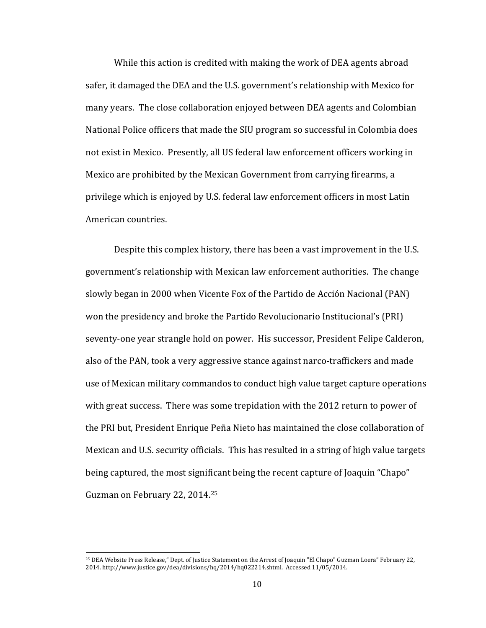While this action is credited with making the work of DEA agents abroad safer, it damaged the DEA and the U.S. government's relationship with Mexico for many years. The close collaboration enjoyed between DEA agents and Colombian National Police officers that made the SIU program so successful in Colombia does not exist in Mexico. Presently, all US federal law enforcement officers working in Mexico are prohibited by the Mexican Government from carrying firearms, a privilege which is enjoyed by U.S. federal law enforcement officers in most Latin American countries.

Despite this complex history, there has been a vast improvement in the U.S. government's relationship with Mexican law enforcement authorities. The change slowly began in 2000 when Vicente Fox of the Partido de Acción Nacional (PAN) won the presidency and broke the Partido Revolucionario Institucional's (PRI) seventy-one year strangle hold on power. His successor, President Felipe Calderon, also of the PAN, took a very aggressive stance against narco-traffickers and made use of Mexican military commandos to conduct high value target capture operations with great success. There was some trepidation with the 2012 return to power of the PRI but, President Enrique Peña Nieto has maintained the close collaboration of Mexican and U.S. security officials. This has resulted in a string of high value targets being captured, the most significant being the recent capture of Joaquin "Chapo" Guzman on February 22, 2014.<sup>25</sup>

<sup>25</sup> DEA Website Press Release," Dept. of Justice Statement on the Arrest of Joaquin "El Chapo" Guzman Loera" February 22, 2014. http://www.justice.gov/dea/divisions/hq/2014/hq022214.shtml. Accessed 11/05/2014.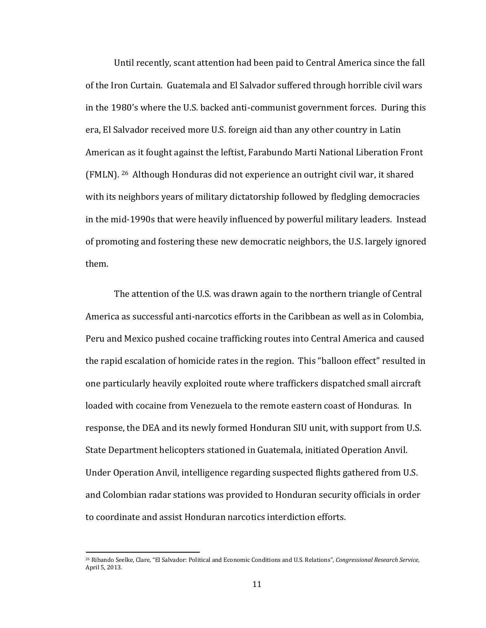Until recently, scant attention had been paid to Central America since the fall of the Iron Curtain. Guatemala and El Salvador suffered through horrible civil wars in the 1980's where the U.S. backed anti-communist government forces. During this era, El Salvador received more U.S. foreign aid than any other country in Latin American as it fought against the leftist, Farabundo Marti National Liberation Front (FMLN). 26 Although Honduras did not experience an outright civil war, it shared with its neighbors years of military dictatorship followed by fledgling democracies in the mid-1990s that were heavily influenced by powerful military leaders. Instead of promoting and fostering these new democratic neighbors, the U.S. largely ignored them.

The attention of the U.S. was drawn again to the northern triangle of Central America as successful anti-narcotics efforts in the Caribbean as well as in Colombia, Peru and Mexico pushed cocaine trafficking routes into Central America and caused the rapid escalation of homicide rates in the region. This "balloon effect" resulted in one particularly heavily exploited route where traffickers dispatched small aircraft loaded with cocaine from Venezuela to the remote eastern coast of Honduras. In response, the DEA and its newly formed Honduran SIU unit, with support from U.S. State Department helicopters stationed in Guatemala, initiated Operation Anvil. Under Operation Anvil, intelligence regarding suspected flights gathered from U.S. and Colombian radar stations was provided to Honduran security officials in order to coordinate and assist Honduran narcotics interdiction efforts.

<sup>26</sup> Ribando Seelke, Clare, "El Salvador: Political and Economic Conditions and U.S. Relations", *Congressional Research Service*, April 5, 2013.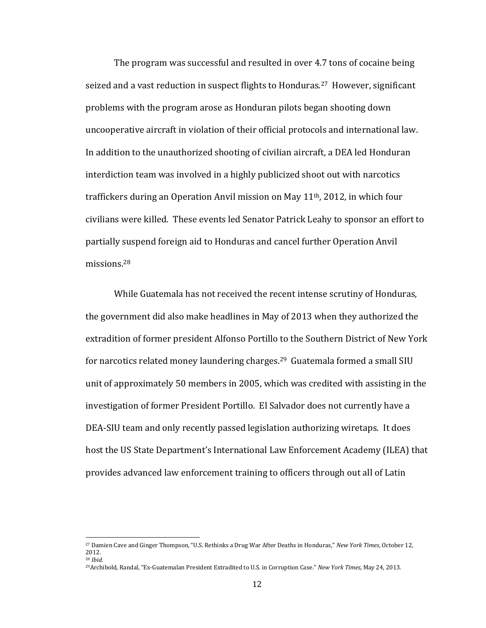The program was successful and resulted in over 4.7 tons of cocaine being seized and a vast reduction in suspect flights to Honduras.<sup>27</sup> However, significant problems with the program arose as Honduran pilots began shooting down uncooperative aircraft in violation of their official protocols and international law. In addition to the unauthorized shooting of civilian aircraft, a DEA led Honduran interdiction team was involved in a highly publicized shoot out with narcotics traffickers during an Operation Anvil mission on May 11th, 2012, in which four civilians were killed. These events led Senator Patrick Leahy to sponsor an effort to partially suspend foreign aid to Honduras and cancel further Operation Anvil missions.<sup>28</sup>

While Guatemala has not received the recent intense scrutiny of Honduras, the government did also make headlines in May of 2013 when they authorized the extradition of former president Alfonso Portillo to the Southern District of New York for narcotics related money laundering charges.<sup>29</sup> Guatemala formed a small SIU unit of approximately 50 members in 2005, which was credited with assisting in the investigation of former President Portillo. El Salvador does not currently have a DEA-SIU team and only recently passed legislation authorizing wiretaps. It does host the US State Department's International Law Enforcement Academy (ILEA) that provides advanced law enforcement training to officers through out all of Latin

<sup>27</sup> Damien Cave and Ginger Thompson, "U.S. Rethinks a Drug War After Deaths in Honduras," *New York Times*, October 12, 2012. <sup>28</sup> *Ibid.*

<sup>29</sup>Archibold, Randal, "Ex-Guatemalan President Extradited to U.S. in Corruption Case." *New York Times*, May 24, 2013.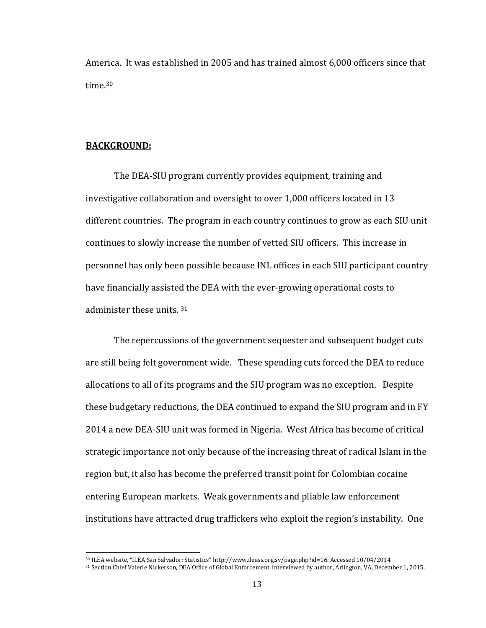America. It was established in 2005 and has trained almost 6,000 officers since that time.<sup>30</sup>

#### **BACKGROUND:**

l

The DEA-SIU program currently provides equipment, training and investigative collaboration and oversight to over 1,000 officers located in 13 different countries. The program in each country continues to grow as each SIU unit continues to slowly increase the number of vetted SIU officers. This increase in personnel has only been possible because INL offices in each SIU participant country have financially assisted the DEA with the ever-growing operational costs to administer these units. <sup>31</sup>

The repercussions of the government sequester and subsequent budget cuts are still being felt government wide. These spending cuts forced the DEA to reduce allocations to all of its programs and the SIU program was no exception. Despite these budgetary reductions, the DEA continued to expand the SIU program and in FY 2014 a new DEA-SIU unit was formed in Nigeria. West Africa has become of critical strategic importance not only because of the increasing threat of radical Islam in the region but, it also has become the preferred transit point for Colombian cocaine entering European markets. Weak governments and pliable law enforcement institutions have attracted drug traffickers who exploit the region's instability. One

<sup>30</sup> ILEA website, "ILEA San Salvador: Statistics" http://www.ileass.org.sv/page.php?id=16. Accessed 10/04/2014

<sup>31</sup> Section Chief Valerie Nickerson, DEA Office of Global Enforcement, interviewed by author, Arlington, VA, December 1, 2015.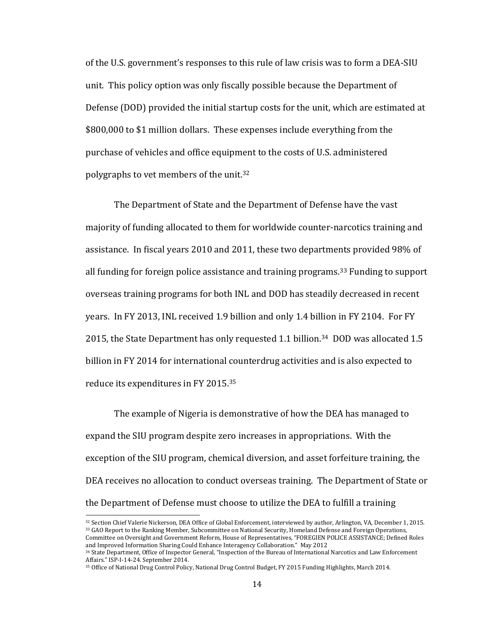of the U.S. government's responses to this rule of law crisis was to form a DEA-SIU unit. This policy option was only fiscally possible because the Department of Defense (DOD) provided the initial startup costs for the unit, which are estimated at \$800,000 to \$1 million dollars. These expenses include everything from the purchase of vehicles and office equipment to the costs of U.S. administered polygraphs to vet members of the unit.<sup>32</sup>

The Department of State and the Department of Defense have the vast majority of funding allocated to them for worldwide counter-narcotics training and assistance. In fiscal years 2010 and 2011, these two departments provided 98% of all funding for foreign police assistance and training programs.<sup>33</sup> Funding to support overseas training programs for both INL and DOD has steadily decreased in recent years. In FY 2013, INL received 1.9 billion and only 1.4 billion in FY 2104. For FY 2015, the State Department has only requested 1.1 billion.34 DOD was allocated 1.5 billion in FY 2014 for international counterdrug activities and is also expected to reduce its expenditures in FY 2015.<sup>35</sup>

The example of Nigeria is demonstrative of how the DEA has managed to expand the SIU program despite zero increases in appropriations. With the exception of the SIU program, chemical diversion, and asset forfeiture training, the DEA receives no allocation to conduct overseas training. The Department of State or the Department of Defense must choose to utilize the DEA to fulfill a training

<sup>32</sup> Section Chief Valerie Nickerson, DEA Office of Global Enforcement, interviewed by author, Arlington, VA, December 1, 2015. <sup>33</sup> GAO Report to the Ranking Member, Subcommittee on National Security, Homeland Defense and Foreign Operations, Committee on Oversight and Government Reform, House of Representatives, "FOREGIEN POLICE ASSISTANCE; Defined Roles and Improved Information Sharing Could Enhance Interagency Collaboration." May 2012

<sup>34</sup> State Department, Office of Inspector General, "Inspection of the Bureau of International Narcotics and Law Enforcement Affairs." ISP-I-14-24. September 2014.

<sup>35</sup> Office of National Drug Control Policy, National Drug Control Budget, FY 2015 Funding Highlights, March 2014.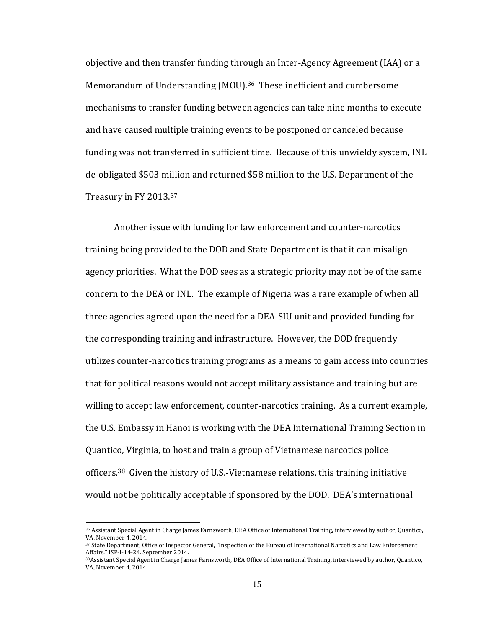objective and then transfer funding through an Inter-Agency Agreement (IAA) or a Memorandum of Understanding (MOU).<sup>36</sup> These inefficient and cumbersome mechanisms to transfer funding between agencies can take nine months to execute and have caused multiple training events to be postponed or canceled because funding was not transferred in sufficient time. Because of this unwieldy system, INL de-obligated \$503 million and returned \$58 million to the U.S. Department of the Treasury in FY 2013.<sup>37</sup>

Another issue with funding for law enforcement and counter-narcotics training being provided to the DOD and State Department is that it can misalign agency priorities. What the DOD sees as a strategic priority may not be of the same concern to the DEA or INL. The example of Nigeria was a rare example of when all three agencies agreed upon the need for a DEA-SIU unit and provided funding for the corresponding training and infrastructure. However, the DOD frequently utilizes counter-narcotics training programs as a means to gain access into countries that for political reasons would not accept military assistance and training but are willing to accept law enforcement, counter-narcotics training. As a current example, the U.S. Embassy in Hanoi is working with the DEA International Training Section in Quantico, Virginia, to host and train a group of Vietnamese narcotics police officers.38 Given the history of U.S.-Vietnamese relations, this training initiative would not be politically acceptable if sponsored by the DOD. DEA's international

<sup>36</sup> Assistant Special Agent in Charge James Farnsworth, DEA Office of International Training, interviewed by author, Quantico, VA, November 4, 2014.

<sup>37</sup> State Department, Office of Inspector General, "Inspection of the Bureau of International Narcotics and Law Enforcement Affairs." ISP-I-14-24. September 2014.

<sup>&</sup>lt;sup>38</sup>Assistant Special Agent in Charge James Farnsworth, DEA Office of International Training, interviewed by author, Quantico, VA, November 4, 2014.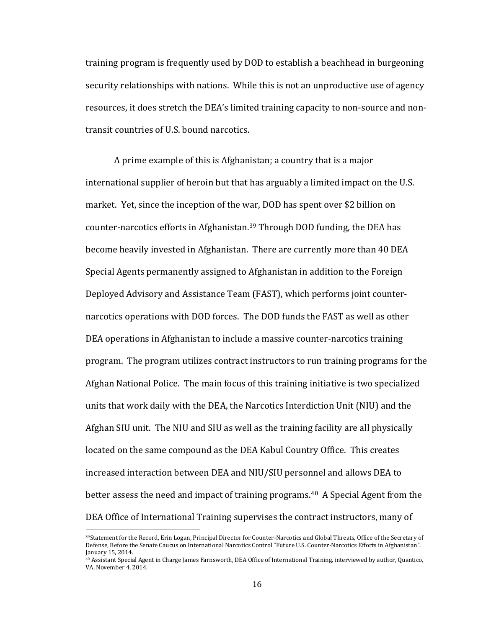training program is frequently used by DOD to establish a beachhead in burgeoning security relationships with nations. While this is not an unproductive use of agency resources, it does stretch the DEA's limited training capacity to non-source and nontransit countries of U.S. bound narcotics.

A prime example of this is Afghanistan; a country that is a major international supplier of heroin but that has arguably a limited impact on the U.S. market. Yet, since the inception of the war, DOD has spent over \$2 billion on counter-narcotics efforts in Afghanistan.<sup>39</sup> Through DOD funding, the DEA has become heavily invested in Afghanistan. There are currently more than 40 DEA Special Agents permanently assigned to Afghanistan in addition to the Foreign Deployed Advisory and Assistance Team (FAST), which performs joint counternarcotics operations with DOD forces. The DOD funds the FAST as well as other DEA operations in Afghanistan to include a massive counter-narcotics training program. The program utilizes contract instructors to run training programs for the Afghan National Police. The main focus of this training initiative is two specialized units that work daily with the DEA, the Narcotics Interdiction Unit (NIU) and the Afghan SIU unit. The NIU and SIU as well as the training facility are all physically located on the same compound as the DEA Kabul Country Office. This creates increased interaction between DEA and NIU/SIU personnel and allows DEA to better assess the need and impact of training programs.<sup>40</sup> A Special Agent from the DEA Office of International Training supervises the contract instructors, many of

<sup>39</sup>Statement for the Record, Erin Logan, Principal Director for Counter-Narcotics and Global Threats, Office of the Secretary of Defense, Before the Senate Caucus on International Narcotics Control "Future U.S. Counter-Narcotics Efforts in Afghanistan". January 15, 2014.

<sup>40</sup> Assistant Special Agent in Charge James Farnsworth, DEA Office of International Training, interviewed by author, Quantico, VA, November 4, 2014.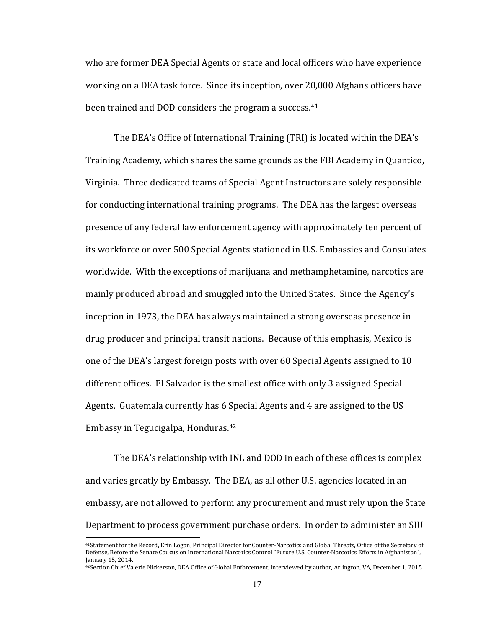who are former DEA Special Agents or state and local officers who have experience working on a DEA task force. Since its inception, over 20,000 Afghans officers have been trained and DOD considers the program a success.<sup>41</sup>

The DEA's Office of International Training (TRI) is located within the DEA's Training Academy, which shares the same grounds as the FBI Academy in Quantico, Virginia. Three dedicated teams of Special Agent Instructors are solely responsible for conducting international training programs. The DEA has the largest overseas presence of any federal law enforcement agency with approximately ten percent of its workforce or over 500 Special Agents stationed in U.S. Embassies and Consulates worldwide. With the exceptions of marijuana and methamphetamine, narcotics are mainly produced abroad and smuggled into the United States. Since the Agency's inception in 1973, the DEA has always maintained a strong overseas presence in drug producer and principal transit nations. Because of this emphasis, Mexico is one of the DEA's largest foreign posts with over 60 Special Agents assigned to 10 different offices. El Salvador is the smallest office with only 3 assigned Special Agents. Guatemala currently has 6 Special Agents and 4 are assigned to the US Embassy in Tegucigalpa, Honduras.<sup>42</sup>

The DEA's relationship with INL and DOD in each of these offices is complex and varies greatly by Embassy. The DEA, as all other U.S. agencies located in an embassy, are not allowed to perform any procurement and must rely upon the State Department to process government purchase orders. In order to administer an SIU

<sup>41</sup>Statement for the Record, Erin Logan, Principal Director for Counter-Narcotics and Global Threats, Office of the Secretary of Defense, Before the Senate Caucus on International Narcotics Control "Future U.S. Counter-Narcotics Efforts in Afghanistan", January 15, 2014.

<sup>42</sup>Section Chief Valerie Nickerson, DEA Office of Global Enforcement, interviewed by author, Arlington, VA, December 1, 2015.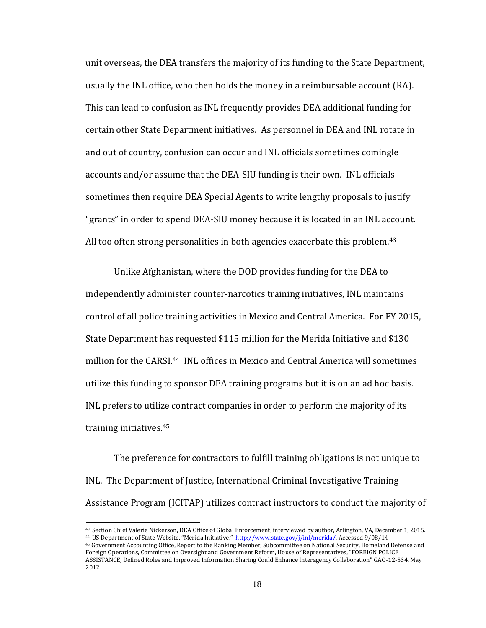unit overseas, the DEA transfers the majority of its funding to the State Department, usually the INL office, who then holds the money in a reimbursable account (RA). This can lead to confusion as INL frequently provides DEA additional funding for certain other State Department initiatives. As personnel in DEA and INL rotate in and out of country, confusion can occur and INL officials sometimes comingle accounts and/or assume that the DEA-SIU funding is their own. INL officials sometimes then require DEA Special Agents to write lengthy proposals to justify "grants" in order to spend DEA-SIU money because it is located in an INL account. All too often strong personalities in both agencies exacerbate this problem.<sup>43</sup>

Unlike Afghanistan, where the DOD provides funding for the DEA to independently administer counter-narcotics training initiatives, INL maintains control of all police training activities in Mexico and Central America. For FY 2015, State Department has requested \$115 million for the Merida Initiative and \$130 million for the CARSI.44 INL offices in Mexico and Central America will sometimes utilize this funding to sponsor DEA training programs but it is on an ad hoc basis. INL prefers to utilize contract companies in order to perform the majority of its training initiatives. 45

The preference for contractors to fulfill training obligations is not unique to INL. The Department of Justice, International Criminal Investigative Training Assistance Program (ICITAP) utilizes contract instructors to conduct the majority of

<sup>43</sup> Section Chief Valerie Nickerson, DEA Office of Global Enforcement, interviewed by author, Arlington, VA, December 1, 2015. 44 US Department of State Website. "Merida Initiative." [http://www.state.gov/j/inl/merida/.](http://www.state.gov/j/inl/merida/) Accessed 9/08/14

<sup>45</sup> Government Accounting Office, Report to the Ranking Member, Subcommittee on National Security, Homeland Defense and Foreign Operations, Committee on Oversight and Government Reform, House of Representatives, "FOREIGN POLICE ASSISTANCE, Defined Roles and Improved Information Sharing Could Enhance Interagency Collaboration" GAO-12-534, May 2012.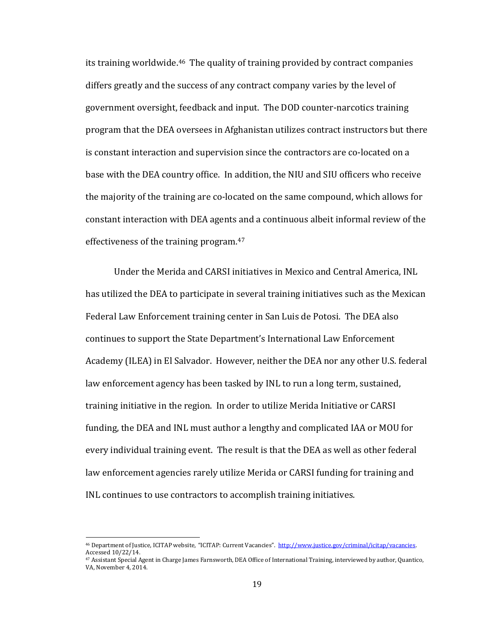its training worldwide.46 The quality of training provided by contract companies differs greatly and the success of any contract company varies by the level of government oversight, feedback and input. The DOD counter-narcotics training program that the DEA oversees in Afghanistan utilizes contract instructors but there is constant interaction and supervision since the contractors are co-located on a base with the DEA country office. In addition, the NIU and SIU officers who receive the majority of the training are co-located on the same compound, which allows for constant interaction with DEA agents and a continuous albeit informal review of the effectiveness of the training program.<sup>47</sup>

Under the Merida and CARSI initiatives in Mexico and Central America, INL has utilized the DEA to participate in several training initiatives such as the Mexican Federal Law Enforcement training center in San Luis de Potosi. The DEA also continues to support the State Department's International Law Enforcement Academy (ILEA) in El Salvador. However, neither the DEA nor any other U.S. federal law enforcement agency has been tasked by INL to run a long term, sustained, training initiative in the region. In order to utilize Merida Initiative or CARSI funding, the DEA and INL must author a lengthy and complicated IAA or MOU for every individual training event. The result is that the DEA as well as other federal law enforcement agencies rarely utilize Merida or CARSI funding for training and INL continues to use contractors to accomplish training initiatives.

<sup>46</sup> Department of Justice, ICITAP website, "ICITAP: Current Vacancies". http://www.justice.gov/criminal/icitap/vacancies. Accessed 10/22/14.

<sup>47</sup> Assistant Special Agent in Charge James Farnsworth, DEA Office of International Training, interviewed by author, Quantico, VA, November 4, 2014.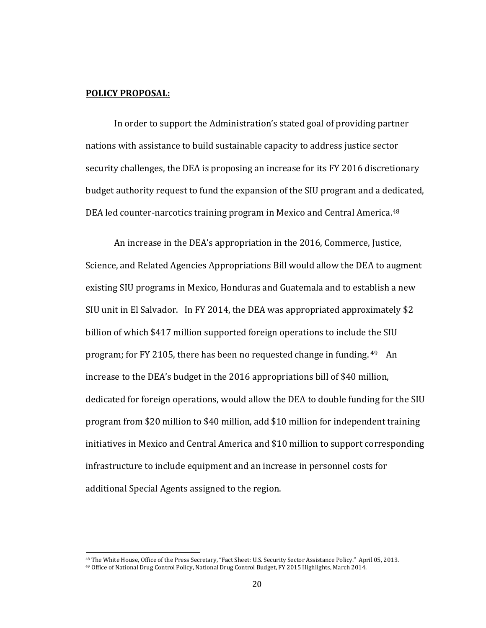#### **POLICY PROPOSAL:**

l

In order to support the Administration's stated goal of providing partner nations with assistance to build sustainable capacity to address justice sector security challenges, the DEA is proposing an increase for its FY 2016 discretionary budget authority request to fund the expansion of the SIU program and a dedicated, DEA led counter-narcotics training program in Mexico and Central America.<sup>48</sup>

An increase in the DEA's appropriation in the 2016, Commerce, Justice, Science, and Related Agencies Appropriations Bill would allow the DEA to augment existing SIU programs in Mexico, Honduras and Guatemala and to establish a new SIU unit in El Salvador. In FY 2014, the DEA was appropriated approximately \$2 billion of which \$417 million supported foreign operations to include the SIU program; for FY 2105, there has been no requested change in funding. <sup>49</sup> An increase to the DEA's budget in the 2016 appropriations bill of \$40 million, dedicated for foreign operations, would allow the DEA to double funding for the SIU program from \$20 million to \$40 million, add \$10 million for independent training initiatives in Mexico and Central America and \$10 million to support corresponding infrastructure to include equipment and an increase in personnel costs for additional Special Agents assigned to the region.

<sup>48</sup> The White House, Office of the Press Secretary, "Fact Sheet: U.S. Security Sector Assistance Policy." April 05, 2013. <sup>49</sup> Office of National Drug Control Policy, National Drug Control Budget, FY 2015 Highlights, March 2014.

<sup>20</sup>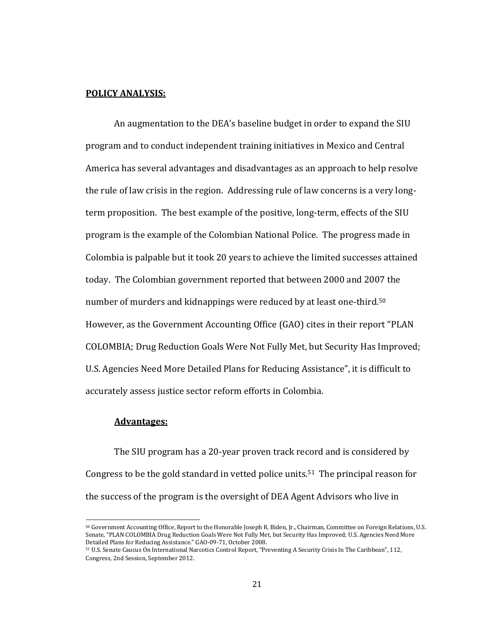#### **POLICY ANALYSIS:**

An augmentation to the DEA's baseline budget in order to expand the SIU program and to conduct independent training initiatives in Mexico and Central America has several advantages and disadvantages as an approach to help resolve the rule of law crisis in the region. Addressing rule of law concerns is a very longterm proposition. The best example of the positive, long-term, effects of the SIU program is the example of the Colombian National Police. The progress made in Colombia is palpable but it took 20 years to achieve the limited successes attained today. The Colombian government reported that between 2000 and 2007 the number of murders and kidnappings were reduced by at least one-third.<sup>50</sup> However, as the Government Accounting Office (GAO) cites in their report "PLAN COLOMBIA; Drug Reduction Goals Were Not Fully Met, but Security Has Improved; U.S. Agencies Need More Detailed Plans for Reducing Assistance", it is difficult to accurately assess justice sector reform efforts in Colombia.

#### **Advantages:**

l

The SIU program has a 20-year proven track record and is considered by Congress to be the gold standard in vetted police units.51 The principal reason for the success of the program is the oversight of DEA Agent Advisors who live in

<sup>50</sup> Government Accounting Office, Report to the Honorable Joseph R. Biden, Jr., Chairman, Committee on Foreign Relations, U.S. Senate, "PLAN COLOMBIA Drug Reduction Goals Were Not Fully Met, but Security Has Improved; U.S. Agencies Need More Detailed Plans for Reducing Assistance." GAO-09-71, October 2008.

<sup>51</sup> U.S. Senate Caucus On International Narcotics Control Report, "Preventing A Security Crisis In The Caribbean", 112, Congress, 2nd Session, September 2012.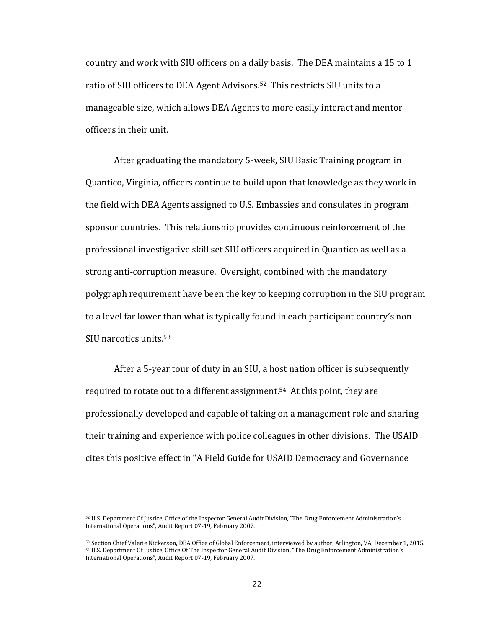country and work with SIU officers on a daily basis. The DEA maintains a 15 to 1 ratio of SIU officers to DEA Agent Advisors.<sup>52</sup> This restricts SIU units to a manageable size, which allows DEA Agents to more easily interact and mentor officers in their unit.

After graduating the mandatory 5-week, SIU Basic Training program in Quantico, Virginia, officers continue to build upon that knowledge as they work in the field with DEA Agents assigned to U.S. Embassies and consulates in program sponsor countries. This relationship provides continuous reinforcement of the professional investigative skill set SIU officers acquired in Quantico as well as a strong anti-corruption measure. Oversight, combined with the mandatory polygraph requirement have been the key to keeping corruption in the SIU program to a level far lower than what is typically found in each participant country's non-SIU narcotics units.<sup>53</sup>

After a 5-year tour of duty in an SIU, a host nation officer is subsequently required to rotate out to a different assignment. <sup>54</sup> At this point, they are professionally developed and capable of taking on a management role and sharing their training and experience with police colleagues in other divisions. The USAID cites this positive effect in "A Field Guide for USAID Democracy and Governance

<sup>52</sup> U.S. Department Of Justice, Office of the Inspector General Audit Division, "The Drug Enforcement Administration's International Operations", Audit Report 07-19, February 2007.

<sup>53</sup> Section Chief Valerie Nickerson, DEA Office of Global Enforcement, interviewed by author, Arlington, VA, December 1, 2015. <sup>54</sup> U.S. Department Of Justice, Office Of The Inspector General Audit Division, "The Drug Enforcement Administration's International Operations", Audit Report 07-19, February 2007.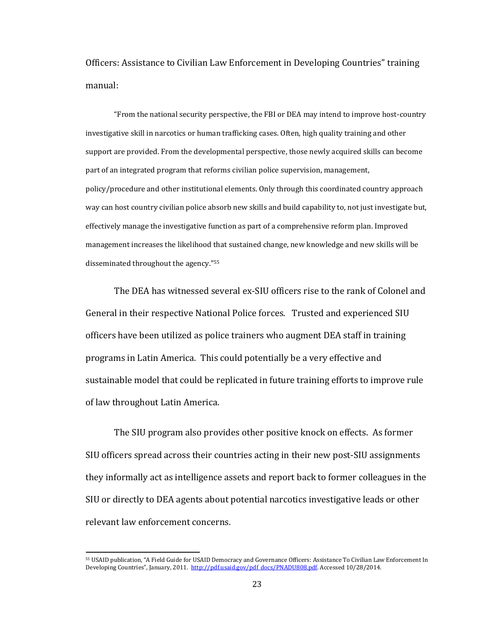Officers: Assistance to Civilian Law Enforcement in Developing Countries" training manual:

"From the national security perspective, the FBI or DEA may intend to improve host-country investigative skill in narcotics or human trafficking cases. Often, high quality training and other support are provided. From the developmental perspective, those newly acquired skills can become part of an integrated program that reforms civilian police supervision, management, policy/procedure and other institutional elements. Only through this coordinated country approach way can host country civilian police absorb new skills and build capability to, not just investigate but, effectively manage the investigative function as part of a comprehensive reform plan. Improved management increases the likelihood that sustained change, new knowledge and new skills will be disseminated throughout the agency."<sup>55</sup>

The DEA has witnessed several ex-SIU officers rise to the rank of Colonel and General in their respective National Police forces. Trusted and experienced SIU officers have been utilized as police trainers who augment DEA staff in training programs in Latin America. This could potentially be a very effective and sustainable model that could be replicated in future training efforts to improve rule of law throughout Latin America.

The SIU program also provides other positive knock on effects. As former SIU officers spread across their countries acting in their new post-SIU assignments they informally act as intelligence assets and report back to former colleagues in the SIU or directly to DEA agents about potential narcotics investigative leads or other relevant law enforcement concerns.

<sup>55</sup> USAID publication, "A Field Guide for USAID Democracy and Governance Officers: Assistance To Civilian Law Enforcement In Developing Countries", January, 2011. http://pdf.usaid.gov/pdf docs/PNADU808.pdf. Accessed 10/28/2014.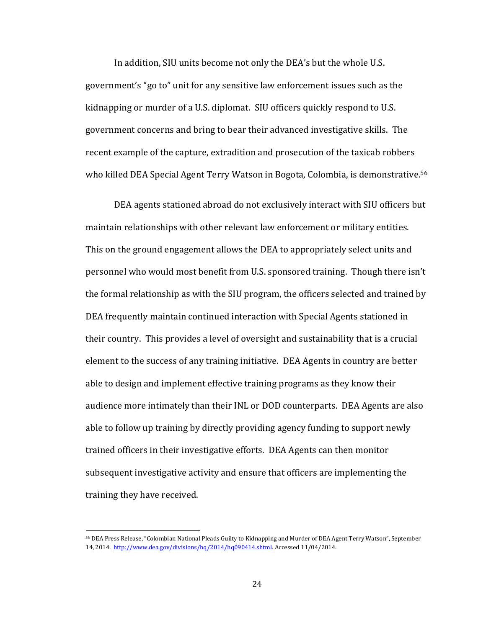In addition, SIU units become not only the DEA's but the whole U.S. government's "go to" unit for any sensitive law enforcement issues such as the kidnapping or murder of a U.S. diplomat. SIU officers quickly respond to U.S. government concerns and bring to bear their advanced investigative skills. The recent example of the capture, extradition and prosecution of the taxicab robbers who killed DEA Special Agent Terry Watson in Bogota, Colombia, is demonstrative.<sup>56</sup>

DEA agents stationed abroad do not exclusively interact with SIU officers but maintain relationships with other relevant law enforcement or military entities. This on the ground engagement allows the DEA to appropriately select units and personnel who would most benefit from U.S. sponsored training. Though there isn't the formal relationship as with the SIU program, the officers selected and trained by DEA frequently maintain continued interaction with Special Agents stationed in their country. This provides a level of oversight and sustainability that is a crucial element to the success of any training initiative. DEA Agents in country are better able to design and implement effective training programs as they know their audience more intimately than their INL or DOD counterparts. DEA Agents are also able to follow up training by directly providing agency funding to support newly trained officers in their investigative efforts. DEA Agents can then monitor subsequent investigative activity and ensure that officers are implementing the training they have received.

 $\overline{a}$ 

<sup>56</sup> DEA Press Release, "Colombian National Pleads Guilty to Kidnapping and Murder of DEA Agent Terry Watson", September 14, 2014. [http://www.dea.gov/divisions/hq/2014/hq090414.shtml.](http://www.dea.gov/divisions/hq/2014/hq090414.shtml) Accessed 11/04/2014.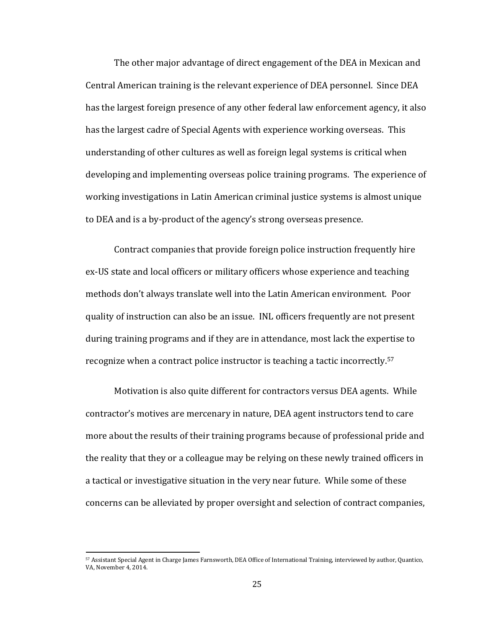The other major advantage of direct engagement of the DEA in Mexican and Central American training is the relevant experience of DEA personnel. Since DEA has the largest foreign presence of any other federal law enforcement agency, it also has the largest cadre of Special Agents with experience working overseas. This understanding of other cultures as well as foreign legal systems is critical when developing and implementing overseas police training programs. The experience of working investigations in Latin American criminal justice systems is almost unique to DEA and is a by-product of the agency's strong overseas presence.

Contract companies that provide foreign police instruction frequently hire ex-US state and local officers or military officers whose experience and teaching methods don't always translate well into the Latin American environment. Poor quality of instruction can also be an issue. INL officers frequently are not present during training programs and if they are in attendance, most lack the expertise to recognize when a contract police instructor is teaching a tactic incorrectly.<sup>57</sup>

Motivation is also quite different for contractors versus DEA agents. While contractor's motives are mercenary in nature, DEA agent instructors tend to care more about the results of their training programs because of professional pride and the reality that they or a colleague may be relying on these newly trained officers in a tactical or investigative situation in the very near future. While some of these concerns can be alleviated by proper oversight and selection of contract companies,

<sup>57</sup> Assistant Special Agent in Charge James Farnsworth, DEA Office of International Training, interviewed by author, Quantico, VA, November 4, 2014.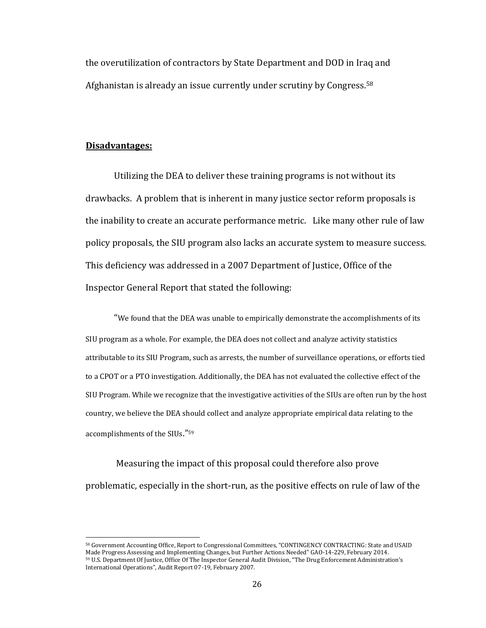the overutilization of contractors by State Department and DOD in Iraq and Afghanistan is already an issue currently under scrutiny by Congress.<sup>58</sup>

## **Disadvantages:**

l

Utilizing the DEA to deliver these training programs is not without its drawbacks. A problem that is inherent in many justice sector reform proposals is the inability to create an accurate performance metric. Like many other rule of law policy proposals, the SIU program also lacks an accurate system to measure success. This deficiency was addressed in a 2007 Department of Justice, Office of the Inspector General Report that stated the following:

"We found that the DEA was unable to empirically demonstrate the accomplishments of its SIU program as a whole. For example, the DEA does not collect and analyze activity statistics attributable to its SIU Program, such as arrests, the number of surveillance operations, or efforts tied to a CPOT or a PTO investigation. Additionally, the DEA has not evaluated the collective effect of the SIU Program. While we recognize that the investigative activities of the SIUs are often run by the host country, we believe the DEA should collect and analyze appropriate empirical data relating to the accomplishments of the SIUs."<sup>59</sup>

Measuring the impact of this proposal could therefore also prove problematic, especially in the short-run, as the positive effects on rule of law of the

<sup>58</sup> Government Accounting Office, Report to Congressional Committees, "CONTINGENCY CONTRACTING: State and USAID Made Progress Assessing and Implementing Changes, but Further Actions Needed" GAO-14-229, February 2014. <sup>59</sup> U.S. Department Of Justice, Office Of The Inspector General Audit Division, "The Drug Enforcement Administration's International Operations", Audit Report 07-19, February 2007.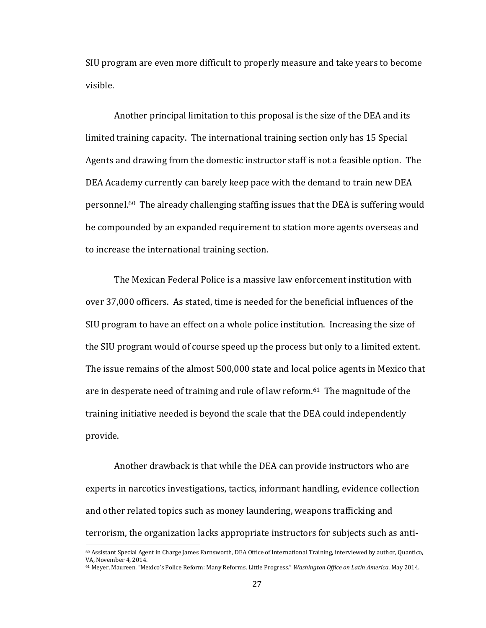SIU program are even more difficult to properly measure and take years to become visible.

Another principal limitation to this proposal is the size of the DEA and its limited training capacity. The international training section only has 15 Special Agents and drawing from the domestic instructor staff is not a feasible option. The DEA Academy currently can barely keep pace with the demand to train new DEA personnel.60 The already challenging staffing issues that the DEA is suffering would be compounded by an expanded requirement to station more agents overseas and to increase the international training section.

The Mexican Federal Police is a massive law enforcement institution with over 37,000 officers. As stated, time is needed for the beneficial influences of the SIU program to have an effect on a whole police institution. Increasing the size of the SIU program would of course speed up the process but only to a limited extent. The issue remains of the almost 500,000 state and local police agents in Mexico that are in desperate need of training and rule of law reform.61 The magnitude of the training initiative needed is beyond the scale that the DEA could independently provide.

Another drawback is that while the DEA can provide instructors who are experts in narcotics investigations, tactics, informant handling, evidence collection and other related topics such as money laundering, weapons trafficking and terrorism, the organization lacks appropriate instructors for subjects such as anti-

<sup>60</sup> Assistant Special Agent in Charge James Farnsworth, DEA Office of International Training, interviewed by author, Quantico, VA, November 4, 2014.

<sup>61</sup> Meyer, Maureen, "Mexico's Police Reform: Many Reforms, Little Progress." *Washington Office on Latin America*, May 2014.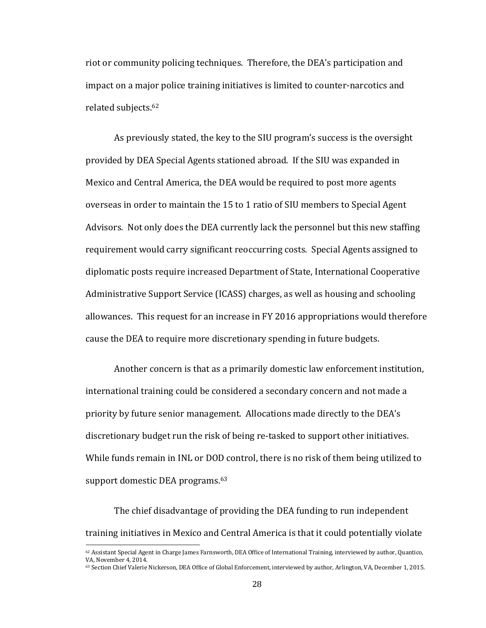riot or community policing techniques. Therefore, the DEA's participation and impact on a major police training initiatives is limited to counter-narcotics and related subjects.<sup>62</sup>

As previously stated, the key to the SIU program's success is the oversight provided by DEA Special Agents stationed abroad. If the SIU was expanded in Mexico and Central America, the DEA would be required to post more agents overseas in order to maintain the 15 to 1 ratio of SIU members to Special Agent Advisors. Not only does the DEA currently lack the personnel but this new staffing requirement would carry significant reoccurring costs. Special Agents assigned to diplomatic posts require increased Department of State, International Cooperative Administrative Support Service (ICASS) charges, as well as housing and schooling allowances. This request for an increase in FY 2016 appropriations would therefore cause the DEA to require more discretionary spending in future budgets.

Another concern is that as a primarily domestic law enforcement institution, international training could be considered a secondary concern and not made a priority by future senior management. Allocations made directly to the DEA's discretionary budget run the risk of being re-tasked to support other initiatives. While funds remain in INL or DOD control, there is no risk of them being utilized to support domestic DEA programs.<sup>63</sup>

The chief disadvantage of providing the DEA funding to run independent training initiatives in Mexico and Central America is that it could potentially violate

 $62$  Assistant Special Agent in Charge James Farnsworth, DEA Office of International Training, interviewed by author, Quantico, VA, November 4, 2014.

<sup>&</sup>lt;sup>63</sup> Section Chief Valerie Nickerson, DEA Office of Global Enforcement, interviewed by author, Arlington, VA, December 1, 2015.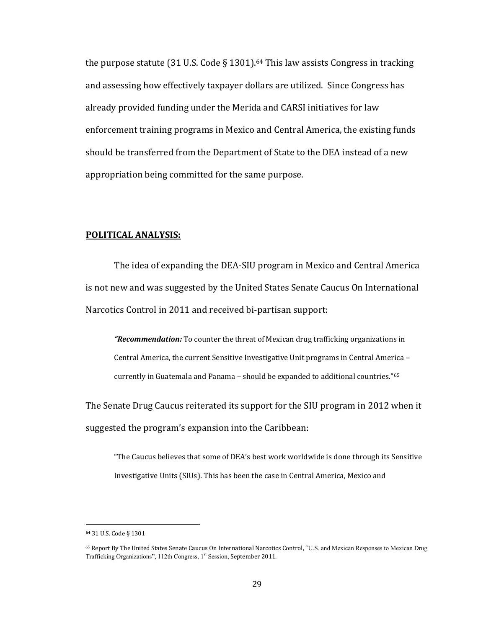the purpose statute (31 U.S. Code § 1301).<sup>64</sup> This law assists Congress in tracking and assessing how effectively taxpayer dollars are utilized. Since Congress has already provided funding under the Merida and CARSI initiatives for law enforcement training programs in Mexico and Central America, the existing funds should be transferred from the Department of State to the DEA instead of a new appropriation being committed for the same purpose.

# **POLITICAL ANALYSIS:**

The idea of expanding the DEA-SIU program in Mexico and Central America is not new and was suggested by the United States Senate Caucus On International Narcotics Control in 2011 and received bi-partisan support:

*"Recommendation:* To counter the threat of Mexican drug trafficking organizations in Central America, the current Sensitive Investigative Unit programs in Central America – currently in Guatemala and Panama – should be expanded to additional countries."<sup>65</sup>

The Senate Drug Caucus reiterated its support for the SIU program in 2012 when it suggested the program's expansion into the Caribbean:

"The Caucus believes that some of DEA's best work worldwide is done through its Sensitive Investigative Units (SIUs). This has been the case in Central America, Mexico and

**<sup>64</sup>** 31 U.S. Code § 1301

<sup>65</sup> Report By The United States Senate Caucus On International Narcotics Control, "U.S. and Mexican Responses to Mexican Drug Trafficking Organizations", 112th Congress, 1<sup>st</sup> Session, September 2011.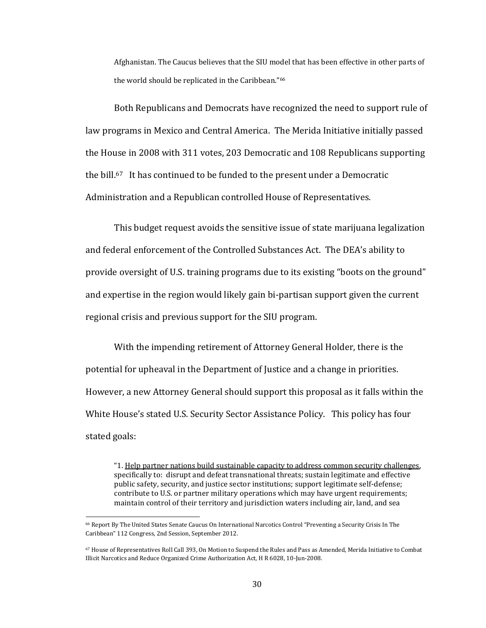Afghanistan. The Caucus believes that the SIU model that has been effective in other parts of the world should be replicated in the Caribbean." 66

Both Republicans and Democrats have recognized the need to support rule of law programs in Mexico and Central America. The Merida Initiative initially passed the House in 2008 with 311 votes, 203 Democratic and 108 Republicans supporting the bill.67 It has continued to be funded to the present under a Democratic Administration and a Republican controlled House of Representatives.

This budget request avoids the sensitive issue of state marijuana legalization and federal enforcement of the Controlled Substances Act. The DEA's ability to provide oversight of U.S. training programs due to its existing "boots on the ground" and expertise in the region would likely gain bi-partisan support given the current regional crisis and previous support for the SIU program.

With the impending retirement of Attorney General Holder, there is the potential for upheaval in the Department of Justice and a change in priorities. However, a new Attorney General should support this proposal as it falls within the White House's stated U.S. Security Sector Assistance Policy. This policy has four stated goals:

"1. Help partner nations build sustainable capacity to address common security challenges, specifically to: disrupt and defeat transnational threats; sustain legitimate and effective public safety, security, and justice sector institutions; support legitimate self-defense; contribute to U.S. or partner military operations which may have urgent requirements; maintain control of their territory and jurisdiction waters including air, land, and sea

 $\overline{\phantom{0}}$ 

<sup>66</sup> Report By The United States Senate Caucus On International Narcotics Control "Preventing a Security Crisis In The Caribbean" 112 Congress, 2nd Session, September 2012.

<sup>67</sup> House of Representatives Roll Call 393, On Motion to Suspend the Rules and Pass as Amended, Merida Initiative to Combat Illicit Narcotics and Reduce Organized Crime Authorization Act, H R 6028, 10-Jun-2008.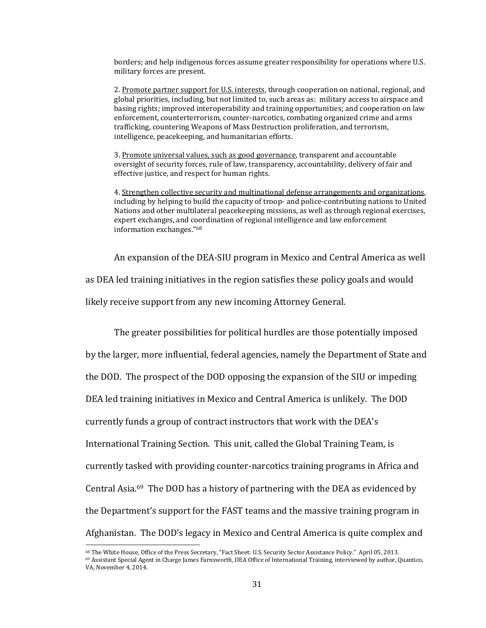borders; and help indigenous forces assume greater responsibility for operations where U.S. military forces are present.

2. Promote partner support for U.S. interests, through cooperation on national, regional, and global priorities, including, but not limited to, such areas as: military access to airspace and basing rights; improved interoperability and training opportunities; and cooperation on law enforcement, counterterrorism, counter-narcotics, combating organized crime and arms trafficking, countering Weapons of Mass Destruction proliferation, and terrorism, intelligence, peacekeeping, and humanitarian efforts.

3. Promote universal values, such as good governance, transparent and accountable oversight of security forces, rule of law, transparency, accountability, delivery of fair and effective justice, and respect for human rights.

4. Strengthen collective security and multinational defense arrangements and organizations, including by helping to build the capacity of troop- and police-contributing nations to United Nations and other multilateral peacekeeping missions, as well as through regional exercises, expert exchanges, and coordination of regional intelligence and law enforcement information exchanges."<sup>68</sup>

An expansion of the DEA-SIU program in Mexico and Central America as well as DEA led training initiatives in the region satisfies these policy goals and would likely receive support from any new incoming Attorney General.

The greater possibilities for political hurdles are those potentially imposed by the larger, more influential, federal agencies, namely the Department of State and the DOD. The prospect of the DOD opposing the expansion of the SIU or impeding DEA led training initiatives in Mexico and Central America is unlikely. The DOD currently funds a group of contract instructors that work with the DEA's International Training Section. This unit, called the Global Training Team, is currently tasked with providing counter-narcotics training programs in Africa and Central Asia.69 The DOD has a history of partnering with the DEA as evidenced by the Department's support for the FAST teams and the massive training program in Afghanistan. The DOD's legacy in Mexico and Central America is quite complex and

<sup>68</sup> The White House, Office of the Press Secretary, "Fact Sheet: U.S. Security Sector Assistance Policy." April 05, 2013.

<sup>69</sup> Assistant Special Agent in Charge James Farnsworth, DEA Office of International Training, interviewed by author, Quantico, VA, November 4, 2014.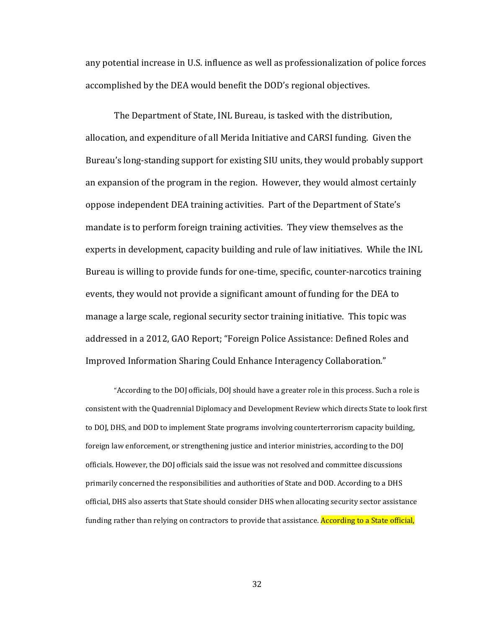any potential increase in U.S. influence as well as professionalization of police forces accomplished by the DEA would benefit the DOD's regional objectives.

The Department of State, INL Bureau, is tasked with the distribution, allocation, and expenditure of all Merida Initiative and CARSI funding. Given the Bureau's long-standing support for existing SIU units, they would probably support an expansion of the program in the region. However, they would almost certainly oppose independent DEA training activities. Part of the Department of State's mandate is to perform foreign training activities. They view themselves as the experts in development, capacity building and rule of law initiatives. While the INL Bureau is willing to provide funds for one-time, specific, counter-narcotics training events, they would not provide a significant amount of funding for the DEA to manage a large scale, regional security sector training initiative. This topic was addressed in a 2012, GAO Report; "Foreign Police Assistance: Defined Roles and Improved Information Sharing Could Enhance Interagency Collaboration."

"According to the DOJ officials, DOJ should have a greater role in this process. Such a role is consistent with the Quadrennial Diplomacy and Development Review which directs State to look first to DOJ, DHS, and DOD to implement State programs involving counterterrorism capacity building, foreign law enforcement, or strengthening justice and interior ministries, according to the DOJ officials. However, the DOJ officials said the issue was not resolved and committee discussions primarily concerned the responsibilities and authorities of State and DOD. According to a DHS official, DHS also asserts that State should consider DHS when allocating security sector assistance funding rather than relying on contractors to provide that assistance. According to a State official,

32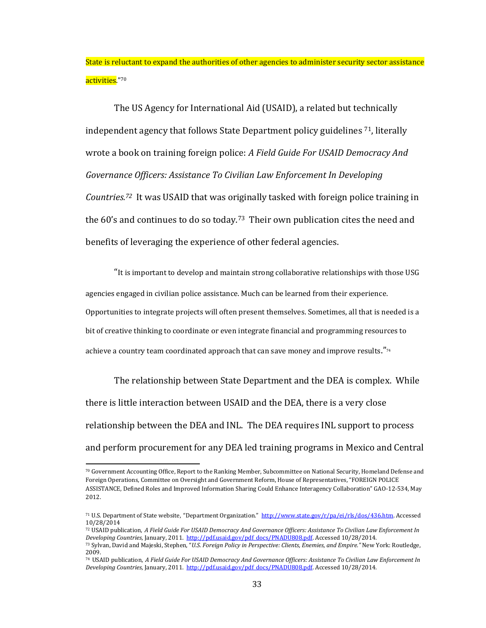State is reluctant to expand the authorities of other agencies to administer security sector assistance activities."<sup>70</sup>

The US Agency for International Aid (USAID), a related but technically independent agency that follows State Department policy guidelines 71, literally wrote a book on training foreign police: *A Field Guide For USAID Democracy And Governance Officers: Assistance To Civilian Law Enforcement In Developing Countries.72* It was USAID that was originally tasked with foreign police training in the 60's and continues to do so today.<sup>73</sup> Their own publication cites the need and benefits of leveraging the experience of other federal agencies.

"It is important to develop and maintain strong collaborative relationships with those USG agencies engaged in civilian police assistance. Much can be learned from their experience. Opportunities to integrate projects will often present themselves. Sometimes, all that is needed is a bit of creative thinking to coordinate or even integrate financial and programming resources to achieve a country team coordinated approach that can save money and improve results." $74$ 

The relationship between State Department and the DEA is complex. While there is little interaction between USAID and the DEA, there is a very close relationship between the DEA and INL. The DEA requires INL support to process and perform procurement for any DEA led training programs in Mexico and Central

<sup>70</sup> Government Accounting Office, Report to the Ranking Member, Subcommittee on National Security, Homeland Defense and Foreign Operations, Committee on Oversight and Government Reform, House of Representatives, "FOREIGN POLICE ASSISTANCE, Defined Roles and Improved Information Sharing Could Enhance Interagency Collaboration" GAO-12-534, May 2012.

<sup>71</sup> U.S. Department of State website, "Department Organization." [http://www.state.gov/r/pa/ei/rls/dos/436.htm.](http://www.state.gov/r/pa/ei/rls/dos/436.htm) Accessed 10/28/2014

<sup>72</sup> USAID publication, *A Field Guide For USAID Democracy And Governance Officers: Assistance To Civilian Law Enforcement In Developing Countries*, January, 2011. [http://pdf.usaid.gov/pdf\\_docs/PNADU808.pdf.](http://pdf.usaid.gov/pdf_docs/PNADU808.pdf) Accessed 10/28/2014. <sup>73</sup> Sylvan, David and Majeski, Stephen, "*U.S. Foreign Policy in Perspective: Clients, Enemies, and Empire."* New York: Routledge,

<sup>2009.</sup> <sup>74</sup> USAID publication, *A Field Guide For USAID Democracy And Governance Officers: Assistance To Civilian Law Enforcement In* 

*Developing Countries*, January, 2011. [http://pdf.usaid.gov/pdf\\_docs/PNADU808.pdf.](http://pdf.usaid.gov/pdf_docs/PNADU808.pdf) Accessed 10/28/2014.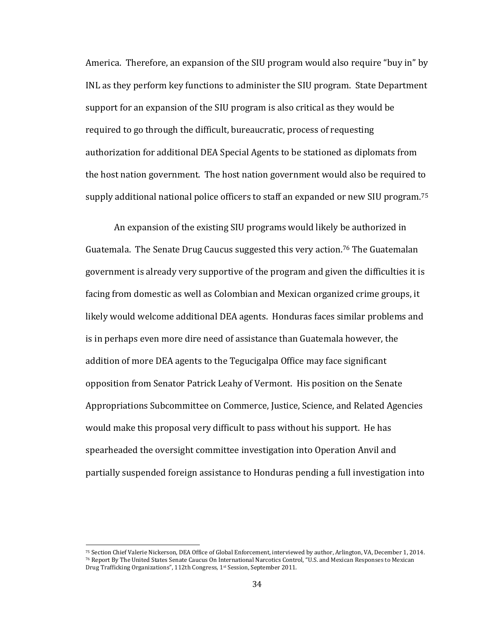America. Therefore, an expansion of the SIU program would also require "buy in" by INL as they perform key functions to administer the SIU program. State Department support for an expansion of the SIU program is also critical as they would be required to go through the difficult, bureaucratic, process of requesting authorization for additional DEA Special Agents to be stationed as diplomats from the host nation government. The host nation government would also be required to supply additional national police officers to staff an expanded or new SIU program. 75

An expansion of the existing SIU programs would likely be authorized in Guatemala. The Senate Drug Caucus suggested this very action.<sup>76</sup> The Guatemalan government is already very supportive of the program and given the difficulties it is facing from domestic as well as Colombian and Mexican organized crime groups, it likely would welcome additional DEA agents. Honduras faces similar problems and is in perhaps even more dire need of assistance than Guatemala however, the addition of more DEA agents to the Tegucigalpa Office may face significant opposition from Senator Patrick Leahy of Vermont. His position on the Senate Appropriations Subcommittee on Commerce, Justice, Science, and Related Agencies would make this proposal very difficult to pass without his support. He has spearheaded the oversight committee investigation into Operation Anvil and partially suspended foreign assistance to Honduras pending a full investigation into

<sup>75</sup> Section Chief Valerie Nickerson, DEA Office of Global Enforcement, interviewed by author, Arlington, VA, December 1, 2014. <sup>76</sup> Report By The United States Senate Caucus On International Narcotics Control, "U.S. and Mexican Responses to Mexican Drug Trafficking Organizations", 112th Congress, 1st Session, September 2011.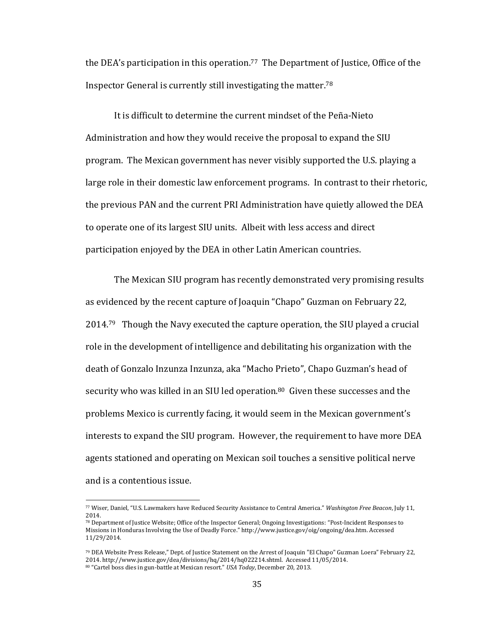the DEA's participation in this operation. <sup>77</sup> The Department of Justice, Office of the Inspector General is currently still investigating the matter.<sup>78</sup>

It is difficult to determine the current mindset of the Peña-Nieto Administration and how they would receive the proposal to expand the SIU program. The Mexican government has never visibly supported the U.S. playing a large role in their domestic law enforcement programs. In contrast to their rhetoric, the previous PAN and the current PRI Administration have quietly allowed the DEA to operate one of its largest SIU units. Albeit with less access and direct participation enjoyed by the DEA in other Latin American countries.

The Mexican SIU program has recently demonstrated very promising results as evidenced by the recent capture of Joaquin "Chapo" Guzman on February 22, 2014.<sup>79</sup> Though the Navy executed the capture operation, the SIU played a crucial role in the development of intelligence and debilitating his organization with the death of Gonzalo Inzunza Inzunza, aka "Macho Prieto", Chapo Guzman's head of security who was killed in an SIU led operation.<sup>80</sup> Given these successes and the problems Mexico is currently facing, it would seem in the Mexican government's interests to expand the SIU program. However, the requirement to have more DEA agents stationed and operating on Mexican soil touches a sensitive political nerve and is a contentious issue.

<sup>77</sup> Wiser, Daniel, "U.S. Lawmakers have Reduced Security Assistance to Central America." *Washington Free Beacon*, July 11, 2014.

<sup>78</sup> Department of Justice Website; Office of the Inspector General; Ongoing Investigations: "Post-Incident Responses to Missions in Honduras Involving the Use of Deadly Force." http://www.justice.gov/oig/ongoing/dea.htm. Accessed 11/29/2014.

<sup>79</sup> DEA Website Press Release," Dept. of Justice Statement on the Arrest of Joaquin "El Chapo" Guzman Loera" February 22, 2014. http://www.justice.gov/dea/divisions/hq/2014/hq022214.shtml. Accessed 11/05/2014. <sup>80</sup> "Cartel boss dies in gun-battle at Mexican resort." *USA Today*, December 20, 2013.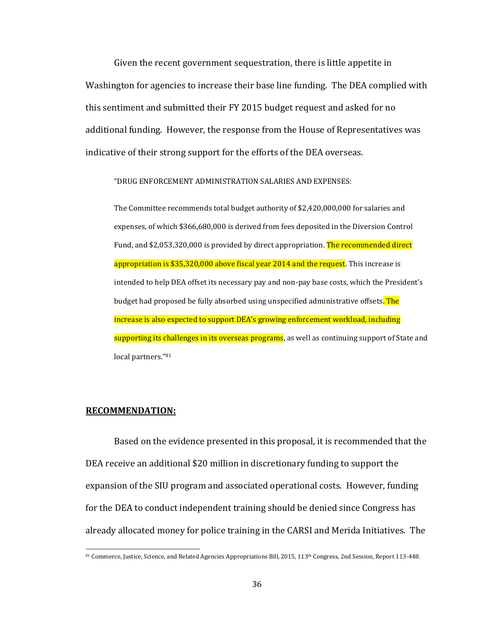Given the recent government sequestration, there is little appetite in Washington for agencies to increase their base line funding. The DEA complied with this sentiment and submitted their FY 2015 budget request and asked for no additional funding. However, the response from the House of Representatives was indicative of their strong support for the efforts of the DEA overseas.

"DRUG ENFORCEMENT ADMINISTRATION SALARIES AND EXPENSES:

The Committee recommends total budget authority of \$2,420,000,000 for salaries and expenses, of which \$366,680,000 is derived from fees deposited in the Diversion Control Fund, and \$2,053,320,000 is provided by direct appropriation. The recommended direct appropriation is \$35,320,000 above fiscal year 2014 and the request. This increase is intended to help DEA offset its necessary pay and non-pay base costs, which the President's budget had proposed be fully absorbed using unspecified administrative offsets. The increase is also expected to support DEA's growing enforcement workload, including supporting its challenges in its overseas programs, as well as continuing support of State and local partners."<sup>81</sup>

## **RECOMMENDATION:**

 $\overline{a}$ 

Based on the evidence presented in this proposal, it is recommended that the DEA receive an additional \$20 million in discretionary funding to support the expansion of the SIU program and associated operational costs. However, funding for the DEA to conduct independent training should be denied since Congress has already allocated money for police training in the CARSI and Merida Initiatives. The

<sup>81</sup> Commerce, Justice, Science, and Related Agencies Appropriations Bill, 2015, 113th Congress, 2nd Session, Report 113-448.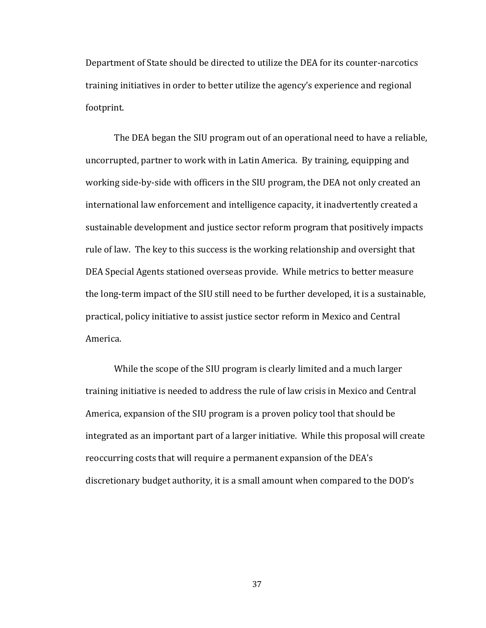Department of State should be directed to utilize the DEA for its counter-narcotics training initiatives in order to better utilize the agency's experience and regional footprint.

The DEA began the SIU program out of an operational need to have a reliable, uncorrupted, partner to work with in Latin America. By training, equipping and working side-by-side with officers in the SIU program, the DEA not only created an international law enforcement and intelligence capacity, it inadvertently created a sustainable development and justice sector reform program that positively impacts rule of law. The key to this success is the working relationship and oversight that DEA Special Agents stationed overseas provide. While metrics to better measure the long-term impact of the SIU still need to be further developed, it is a sustainable, practical, policy initiative to assist justice sector reform in Mexico and Central America.

While the scope of the SIU program is clearly limited and a much larger training initiative is needed to address the rule of law crisis in Mexico and Central America, expansion of the SIU program is a proven policy tool that should be integrated as an important part of a larger initiative. While this proposal will create reoccurring costs that will require a permanent expansion of the DEA's discretionary budget authority, it is a small amount when compared to the DOD's

37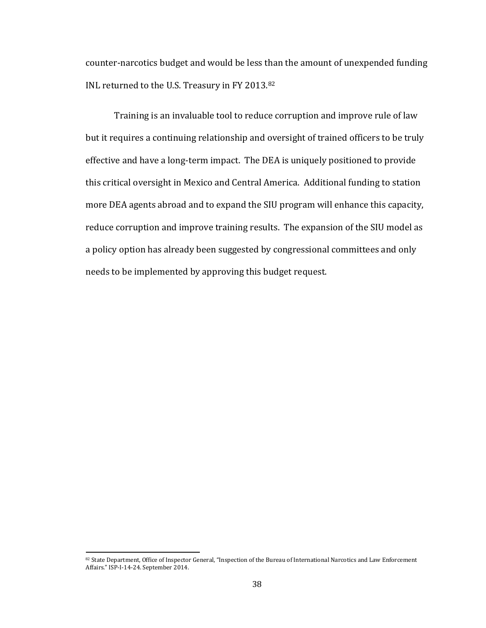counter-narcotics budget and would be less than the amount of unexpended funding INL returned to the U.S. Treasury in FY 2013.<sup>82</sup>

Training is an invaluable tool to reduce corruption and improve rule of law but it requires a continuing relationship and oversight of trained officers to be truly effective and have a long-term impact. The DEA is uniquely positioned to provide this critical oversight in Mexico and Central America. Additional funding to station more DEA agents abroad and to expand the SIU program will enhance this capacity, reduce corruption and improve training results. The expansion of the SIU model as a policy option has already been suggested by congressional committees and only needs to be implemented by approving this budget request.

<sup>82</sup> State Department, Office of Inspector General, "Inspection of the Bureau of International Narcotics and Law Enforcement Affairs." ISP-I-14-24. September 2014.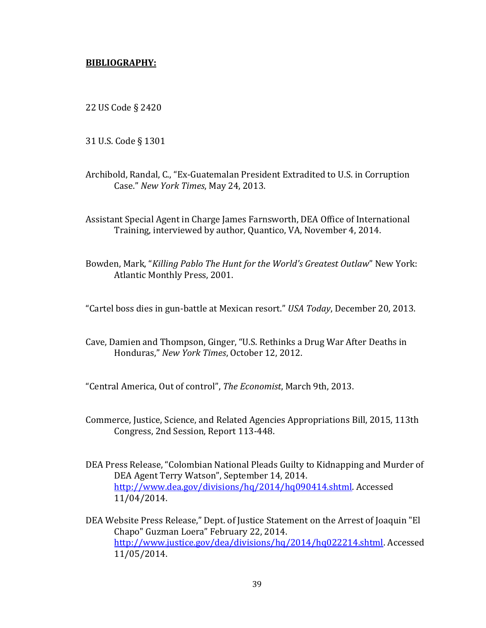# **BIBLIOGRAPHY:**

22 US Code § 2420

31 U.S. Code § 1301

Archibold, Randal, C., "Ex-Guatemalan President Extradited to U.S. in Corruption Case." *New York Times*, May 24, 2013.

Assistant Special Agent in Charge James Farnsworth, DEA Office of International Training, interviewed by author, Quantico, VA, November 4, 2014.

Bowden, Mark, "*Killing Pablo The Hunt for the World's Greatest Outlaw*" New York: Atlantic Monthly Press, 2001.

"Cartel boss dies in gun-battle at Mexican resort." *USA Today*, December 20, 2013.

Cave, Damien and Thompson, Ginger, "U.S. Rethinks a Drug War After Deaths in Honduras," *New York Times*, October 12, 2012.

"Central America, Out of control", *The Economist*, March 9th, 2013.

- Commerce, Justice, Science, and Related Agencies Appropriations Bill, 2015, 113th Congress, 2nd Session, Report 113-448.
- DEA Press Release, "Colombian National Pleads Guilty to Kidnapping and Murder of DEA Agent Terry Watson", September 14, 2014. [http://www.dea.gov/divisions/hq/2014/hq090414.shtml.](http://www.dea.gov/divisions/hq/2014/hq090414.shtml) Accessed 11/04/2014.
- DEA Website Press Release," Dept. of Justice Statement on the Arrest of Joaquin "El Chapo" Guzman Loera" February 22, 2014. [http://www.justice.gov/dea/divisions/hq/2014/hq022214.shtml.](http://www.justice.gov/dea/divisions/hq/2014/hq022214.shtml) Accessed 11/05/2014.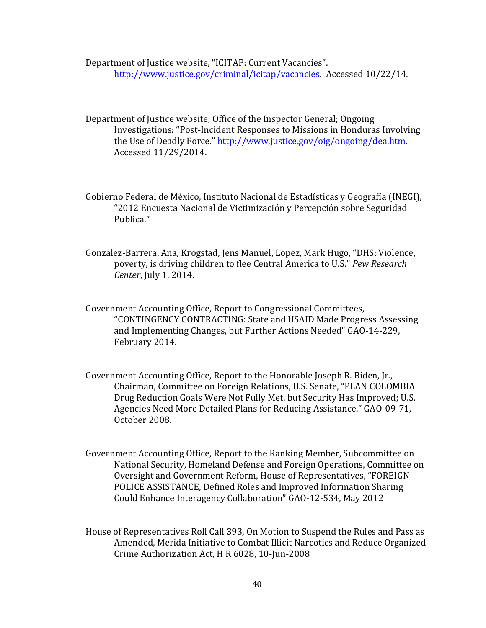Department of Justice website, "ICITAP: Current Vacancies". [http://www.justice.gov/criminal/icitap/vacancies.](http://www.justice.gov/criminal/icitap/vacancies) Accessed 10/22/14.

Department of Justice website; Office of the Inspector General; Ongoing Investigations: "Post-Incident Responses to Missions in Honduras Involving the Use of Deadly Force." [http://www.justice.gov/oig/ongoing/dea.htm.](http://www.justice.gov/oig/ongoing/dea.htm) Accessed 11/29/2014.

Gobierno Federal de México, Instituto Nacional de Estadísticas y Geografía (INEGI), "2012 Encuesta Nacional de Victimización y Percepción sobre Seguridad Publica."

Gonzalez-Barrera, Ana, Krogstad, Jens Manuel, Lopez, Mark Hugo, "DHS: Violence, poverty, is driving children to flee Central America to U.S." *Pew Research Center*, July 1, 2014.

Government Accounting Office, Report to Congressional Committees, "CONTINGENCY CONTRACTING: State and USAID Made Progress Assessing and Implementing Changes, but Further Actions Needed" GAO-14-229, February 2014.

Government Accounting Office, Report to the Honorable Joseph R. Biden, Jr., Chairman, Committee on Foreign Relations, U.S. Senate, "PLAN COLOMBIA Drug Reduction Goals Were Not Fully Met, but Security Has Improved; U.S. Agencies Need More Detailed Plans for Reducing Assistance." GAO-09-71, October 2008.

Government Accounting Office, Report to the Ranking Member, Subcommittee on National Security, Homeland Defense and Foreign Operations, Committee on Oversight and Government Reform, House of Representatives, "FOREIGN POLICE ASSISTANCE, Defined Roles and Improved Information Sharing Could Enhance Interagency Collaboration" GAO-12-534, May 2012

House of Representatives Roll Call 393, On Motion to Suspend the Rules and Pass as Amended, Merida Initiative to Combat Illicit Narcotics and Reduce Organized Crime Authorization Act, H R 6028, 10-Jun-2008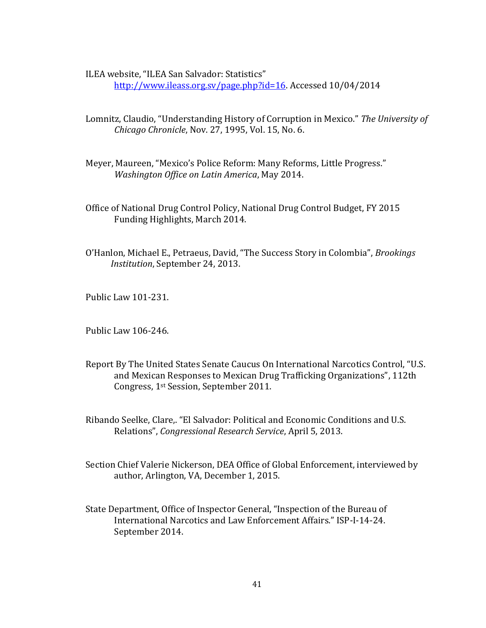ILEA website, "ILEA San Salvador: Statistics"

[http://www.ileass.org.sv/page.php?id=16.](http://www.ileass.org.sv/page.php?id=16) Accessed 10/04/2014

- Lomnitz, Claudio, "Understanding History of Corruption in Mexico." *The University of Chicago Chronicle*, Nov. 27, 1995, Vol. 15, No. 6.
- Meyer, Maureen, "Mexico's Police Reform: Many Reforms, Little Progress." *Washington Office on Latin America*, May 2014.
- Office of National Drug Control Policy, National Drug Control Budget, FY 2015 Funding Highlights, March 2014.
- O'Hanlon, Michael E., Petraeus, David, "The Success Story in Colombia", *Brookings Institution*, September 24, 2013.

Public Law 101-231.

Public Law 106-246.

- Report By The United States Senate Caucus On International Narcotics Control, "U.S. and Mexican Responses to Mexican Drug Trafficking Organizations", 112th Congress, 1st Session, September 2011.
- Ribando Seelke, Clare,. "El Salvador: Political and Economic Conditions and U.S. Relations", *Congressional Research Service*, April 5, 2013.
- Section Chief Valerie Nickerson, DEA Office of Global Enforcement, interviewed by author, Arlington, VA, December 1, 2015.
- State Department, Office of Inspector General, "Inspection of the Bureau of International Narcotics and Law Enforcement Affairs." ISP-I-14-24. September 2014.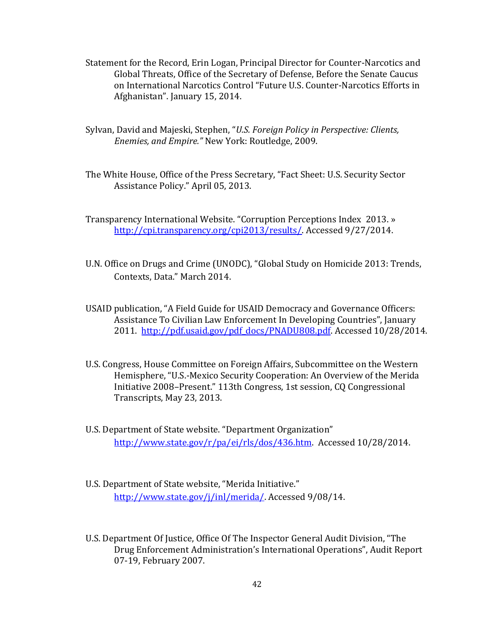- Statement for the Record, Erin Logan, Principal Director for Counter-Narcotics and Global Threats, Office of the Secretary of Defense, Before the Senate Caucus on International Narcotics Control "Future U.S. Counter-Narcotics Efforts in Afghanistan". January 15, 2014.
- Sylvan, David and Majeski, Stephen, "*U.S. Foreign Policy in Perspective: Clients, Enemies, and Empire."* New York: Routledge, 2009.
- The White House, Office of the Press Secretary, "Fact Sheet: U.S. Security Sector Assistance Policy." April 05, 2013.

Transparency International Website. "Corruption Perceptions Index 2013. » [http://cpi.transparency.org/cpi2013/results/.](http://cpi.transparency.org/cpi2013/results/) Accessed 9/27/2014.

- U.N. Office on Drugs and Crime (UNODC), "Global Study on Homicide 2013: Trends, Contexts, Data." March 2014.
- USAID publication, "A Field Guide for USAID Democracy and Governance Officers: Assistance To Civilian Law Enforcement In Developing Countries", January 2011. [http://pdf.usaid.gov/pdf\\_docs/PNADU808.pdf.](http://pdf.usaid.gov/pdf_docs/PNADU808.pdf) Accessed 10/28/2014.
- U.S. Congress, House Committee on Foreign Affairs, Subcommittee on the Western Hemisphere, "U.S.-Mexico Security Cooperation: An Overview of the Merida Initiative 2008–Present." 113th Congress, 1st session, CQ Congressional Transcripts, May 23, 2013.
- U.S. Department of State website. "Department Organization" [http://www.state.gov/r/pa/ei/rls/dos/436.htm.](http://www.state.gov/r/pa/ei/rls/dos/436.htm) Accessed 10/28/2014.
- U.S. Department of State website, "Merida Initiative." [http://www.state.gov/j/inl/merida/.](http://www.state.gov/j/inl/merida/) Accessed 9/08/14.
- U.S. Department Of Justice, Office Of The Inspector General Audit Division, "The Drug Enforcement Administration's International Operations", Audit Report 07-19, February 2007.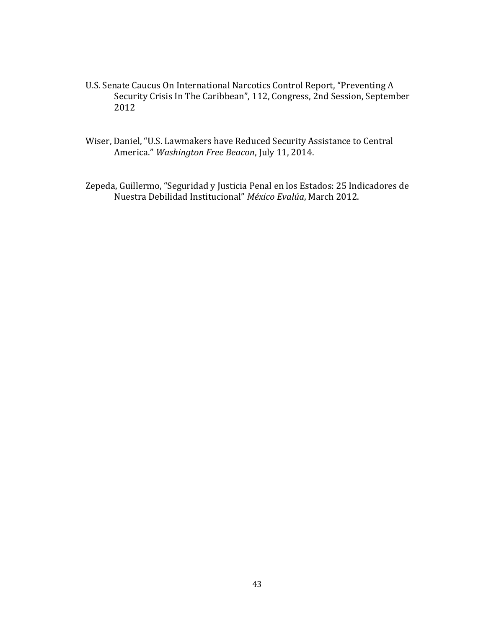- U.S. Senate Caucus On International Narcotics Control Report, "Preventing A Security Crisis In The Caribbean", 112, Congress, 2nd Session, September 2012
- Wiser, Daniel, "U.S. Lawmakers have Reduced Security Assistance to Central America." *Washington Free Beacon*, July 11, 2014.

Zepeda, Guillermo, "Seguridad y Justicia Penal en los Estados: 25 Indicadores de Nuestra Debilidad Institucional" *México Evalúa*, March 2012.